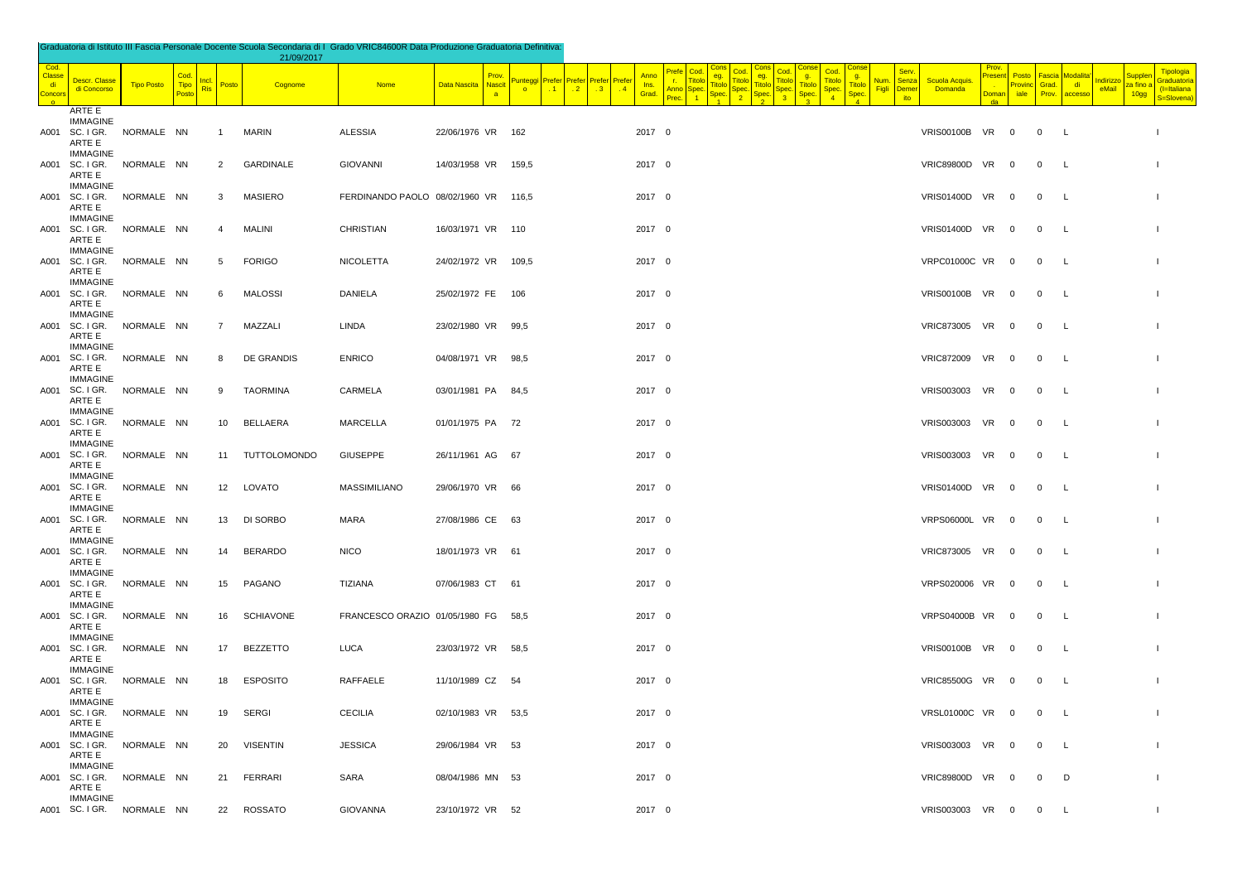| Graduatoria di Istituto III Fascia Personale Docente Scuola Secondaria di I Grado VRIC84600R Data Produzione Graduatoria Definitiva: |  |
|--------------------------------------------------------------------------------------------------------------------------------------|--|
|                                                                                                                                      |  |

|                                      |                                                         |                   |                    |                                     | 21/09/2017       |                                      |                                       |                                     |                                                                                                              |                                              |                                              |                                                                                     |                              |                           |                         |                          |                                |                                    |                                                    |                                                        |
|--------------------------------------|---------------------------------------------------------|-------------------|--------------------|-------------------------------------|------------------|--------------------------------------|---------------------------------------|-------------------------------------|--------------------------------------------------------------------------------------------------------------|----------------------------------------------|----------------------------------------------|-------------------------------------------------------------------------------------|------------------------------|---------------------------|-------------------------|--------------------------|--------------------------------|------------------------------------|----------------------------------------------------|--------------------------------------------------------|
| Cod.<br>Classe<br>di<br><b>Oncor</b> | Descr. Classe<br>di Concorso                            | <b>Tipo Posto</b> | Cod<br><b>Tipo</b> | <u>Incl.</u><br>Posto<br><b>Ris</b> | Cognome          | <b>Nome</b>                          | Prov<br>Data Nascita<br><b>Nascit</b> | unteggi<br>$\overline{\phantom{a}}$ | Anno<br>Prefer<br>Prefer Prefer<br>Prefe<br>Ins.<br>$\cdot$ 2<br>$\cdot$ 1<br>.3 <sub>1</sub><br>.4<br>Grad. | ea.<br><b>Ttok</b><br>Titolo<br>Anno<br>iner | g.<br><b>Titolc</b><br><b>Titolo</b><br>Sper | q.<br><b>Titolo</b><br><mark>Num</mark><br><b>Titolo</b><br>Figli<br>Spec.<br>Spec. | Sen<br>Senza<br>Demer<br>ito | Scuola Acquis.<br>Domanda | 'resent<br><b>Domar</b> | Posto<br>Provinc<br>iale | Fascia<br>Grad.<br>Prov.       | <u>lodalita</u><br>di d<br>accesso | Suppler<br>Indirizzo<br>za fino a<br>eMail<br>10gg | Tipologia<br>Graduatoria<br>$I=Italiana$<br>S=Slovena) |
|                                      | ARTE E<br><b>IMMAGINE</b><br>A001 SC. I GR.<br>ARTE E   | NORMALE NN        |                    | $\overline{1}$                      | <b>MARIN</b>     | <b>ALESSIA</b>                       | 22/06/1976 VR 162                     |                                     | 2017 0                                                                                                       |                                              |                                              |                                                                                     |                              | VRIS00100B VR 0           |                         |                          | $0\qquad L$                    |                                    |                                                    |                                                        |
|                                      | <b>IMMAGINE</b><br>A001 SC. I GR.<br>ARTE E             | NORMALE NN        |                    | $\overline{2}$                      | <b>GARDINALE</b> | <b>GIOVANNI</b>                      | 14/03/1958 VR                         | 159,5                               | 2017 0                                                                                                       |                                              |                                              |                                                                                     |                              | VRIC89800D VR 0           |                         |                          | $\overline{0}$                 | $\mathsf{L}$                       |                                                    | - 1                                                    |
|                                      | <b>IMMAGINE</b><br>A001 SC. I GR.<br>ARTE E             | NORMALE NN        |                    | 3                                   | <b>MASIERO</b>   | FERDINANDO PAOLO 08/02/1960 VR 116,5 |                                       |                                     | 2017 0                                                                                                       |                                              |                                              |                                                                                     |                              | VRIS01400D VR 0           |                         |                          | $\overline{0}$                 | $\mathsf{L}$                       |                                                    | $\blacksquare$                                         |
|                                      | <b>IMMAGINE</b><br>A001 SC. I GR.<br>ARTE E             | NORMALE NN        |                    | $\overline{4}$                      | <b>MALINI</b>    | CHRISTIAN                            | 16/03/1971 VR 110                     |                                     | 2017 0                                                                                                       |                                              |                                              |                                                                                     |                              | VRIS01400D VR 0           |                         |                          | $\overline{0}$                 | L.                                 |                                                    |                                                        |
|                                      | <b>IMMAGINE</b><br>A001 SC. I GR.<br>ARTE E             | NORMALE NN        |                    | 5                                   | <b>FORIGO</b>    | <b>NICOLETTA</b>                     | 24/02/1972 VR 109,5                   |                                     | 2017 0                                                                                                       |                                              |                                              |                                                                                     |                              | VRPC01000C VR 0           |                         |                          | $\overline{0}$                 | <b>L</b>                           |                                                    | $\overline{\phantom{a}}$                               |
|                                      | <b>IMMAGINE</b><br>A001 SC. I GR.<br>ARTE E             | NORMALE NN        |                    | 6                                   | <b>MALOSSI</b>   | DANIELA                              | 25/02/1972 FE 106                     |                                     | 2017 0                                                                                                       |                                              |                                              |                                                                                     |                              | VRIS00100B VR 0           |                         |                          | $\mathsf{L}$<br>$\overline{0}$ |                                    |                                                    | $\blacksquare$                                         |
|                                      | <b>IMMAGINE</b><br>A001 SC. I GR.<br>ARTE E             | NORMALE NN        |                    | $\overline{7}$                      | MAZZALI          | LINDA                                | 23/02/1980 VR 99,5                    |                                     | 2017 0                                                                                                       |                                              |                                              |                                                                                     |                              | VRIC873005 VR 0           |                         |                          | $\overline{0}$                 | $\mathsf{L}$                       |                                                    | $\overline{1}$                                         |
|                                      | <b>IMMAGINE</b><br>A001 SC. I GR. NORMALE NN<br>ARTE E  |                   |                    | 8                                   | DE GRANDIS       | <b>ENRICO</b>                        | 04/08/1971 VR 98,5                    |                                     | 2017 0                                                                                                       |                                              |                                              |                                                                                     |                              | VRIC872009 VR 0           |                         |                          | $\overline{0}$<br>$\mathsf{L}$ |                                    |                                                    | $\blacksquare$                                         |
|                                      | <b>IMMAGINE</b><br>A001 SC. I GR.<br>ARTE E             | NORMALE NN        |                    | 9                                   | TAORMINA         | CARMELA                              | 03/01/1981 PA 84,5                    |                                     | 2017 0                                                                                                       |                                              |                                              |                                                                                     |                              | VRIS003003 VR 0           |                         |                          | $\overline{0}$                 | $\mathsf{L}$                       |                                                    | $\blacksquare$                                         |
|                                      | <b>IMMAGINE</b><br>A001 SC. I GR.<br>ARTE E<br>IMMAGINE | NORMALE NN        |                    | 10                                  | BELLAERA         | MARCELLA                             | 01/01/1975 PA 72                      |                                     | 2017 0                                                                                                       |                                              |                                              |                                                                                     |                              | VRIS003003 VR 0           |                         |                          | $\overline{0}$                 | L                                  |                                                    | $\blacksquare$                                         |
|                                      | A001 SC. I GR.<br>ARTE E<br><b>IMMAGINE</b>             | NORMALE NN        |                    |                                     | 11 TUTTOLOMONDO  | <b>GIUSEPPE</b>                      | 26/11/1961 AG 67                      |                                     | 2017 0                                                                                                       |                                              |                                              |                                                                                     |                              | VRIS003003 VR 0           |                         |                          | $\overline{0}$                 | <b>L</b>                           |                                                    | $\blacksquare$                                         |
|                                      | A001 SC. I GR.<br>ARTE E<br><b>IMMAGINE</b>             | NORMALE NN        |                    | 12                                  | LOVATO           | MASSIMILIANO                         | 29/06/1970 VR 66                      |                                     | 2017 0                                                                                                       |                                              |                                              |                                                                                     |                              | VRIS01400D VR 0           |                         |                          | $\mathbf 0$                    | <b>L</b>                           |                                                    | $\blacksquare$                                         |
|                                      | A001 SC. I GR.<br>ARTE E<br><b>IMMAGINE</b>             | NORMALE NN        |                    | 13                                  | DI SORBO         | MARA                                 | 27/08/1986 CE 63                      |                                     | 2017 0                                                                                                       |                                              |                                              |                                                                                     |                              | VRPS06000L VR 0           |                         |                          | $\overline{0}$<br>$\mathsf{L}$ |                                    |                                                    | $\overline{1}$                                         |
|                                      | A001 SC. I GR.<br>ARTE E<br><b>IMMAGINE</b>             | NORMALE NN        |                    | 14                                  | <b>BERARDO</b>   | <b>NICO</b>                          | 18/01/1973 VR 61                      |                                     | 2017 0                                                                                                       |                                              |                                              |                                                                                     |                              | VRIC873005 VR 0           |                         |                          | $\overline{0}$                 | $\mathsf{L}$                       |                                                    | $\blacksquare$                                         |
|                                      | A001 SC. I GR.<br>ARTE E<br><b>IMMAGINE</b>             | NORMALE NN        |                    | 15                                  | PAGANO           | TIZIANA                              | 07/06/1983 CT 61                      |                                     | 2017 0                                                                                                       |                                              |                                              |                                                                                     |                              | VRPS020006 VR 0           |                         |                          | $\mathbf{0}$<br>$\mathsf{L}$   |                                    |                                                    | $\blacksquare$                                         |
|                                      | A001 SC. I GR.<br>ARTE E<br><b>IMMAGINE</b>             | NORMALE NN        |                    | 16                                  | <b>SCHIAVONE</b> | FRANCESCO ORAZIO 01/05/1980 FG 58,5  |                                       |                                     | 2017 0                                                                                                       |                                              |                                              |                                                                                     |                              | VRPS04000B VR 0           |                         |                          | $\overline{0}$                 | $\mathsf{L}$                       |                                                    | - 1                                                    |
|                                      | A001 SC. I GR.<br>ARTE E<br><b>IMMAGINE</b>             | NORMALE NN        |                    | 17                                  | <b>BEZZETTO</b>  | <b>LUCA</b>                          | 23/03/1972 VR 58,5                    |                                     | 2017 0                                                                                                       |                                              |                                              |                                                                                     |                              | VRIS00100B VR 0           |                         |                          | $\overline{0}$                 | $\mathsf{L}$                       |                                                    | $\blacksquare$                                         |
|                                      | A001 SC. I GR.<br>ARTE E<br><b>IMMAGINE</b>             | NORMALE NN        |                    | 18                                  | <b>ESPOSITO</b>  | RAFFAELE                             | 11/10/1989 CZ 54                      |                                     | 2017 0                                                                                                       |                                              |                                              |                                                                                     |                              | VRIC85500G VR 0           |                         |                          | $\overline{0}$                 | L.                                 |                                                    | $\overline{\phantom{a}}$                               |
|                                      | A001 SC. I GR.<br>ARTE E<br><b>IMMAGINE</b>             | NORMALE NN        |                    | 19                                  | SERGI            | <b>CECILIA</b>                       | 02/10/1983 VR 53,5                    |                                     | 2017 0                                                                                                       |                                              |                                              |                                                                                     |                              | VRSL01000C VR 0           |                         |                          | $\overline{0}$                 | L.                                 |                                                    | $\blacksquare$                                         |
|                                      | A001 SC. I GR.<br>ARTE E<br><b>IMMAGINE</b>             | NORMALE NN        |                    | 20                                  | <b>VISENTIN</b>  | <b>JESSICA</b>                       | 29/06/1984 VR 53                      |                                     | 2017 0                                                                                                       |                                              |                                              |                                                                                     |                              | VRIS003003 VR 0           |                         |                          | $\overline{0}$                 | $\mathsf{L}$                       |                                                    | $\blacksquare$                                         |
|                                      | A001 SC. I GR.<br>ARTE E                                | NORMALE NN        |                    | 21                                  | FERRARI          | SARA                                 | 08/04/1986 MN 53                      |                                     | 2017 0                                                                                                       |                                              |                                              |                                                                                     |                              | VRIC89800D VR 0           |                         |                          | $\overline{0}$                 | D                                  |                                                    | $\blacksquare$                                         |
|                                      | <b>IMMAGINE</b><br>A001 SC. I GR. NORMALE NN            |                   |                    | 22                                  | ROSSATO          | <b>GIOVANNA</b>                      | 23/10/1972 VR 52                      |                                     | 2017 0                                                                                                       |                                              |                                              |                                                                                     |                              | VRIS003003 VR 0           |                         |                          | $\overline{0}$                 | L.                                 |                                                    | -1                                                     |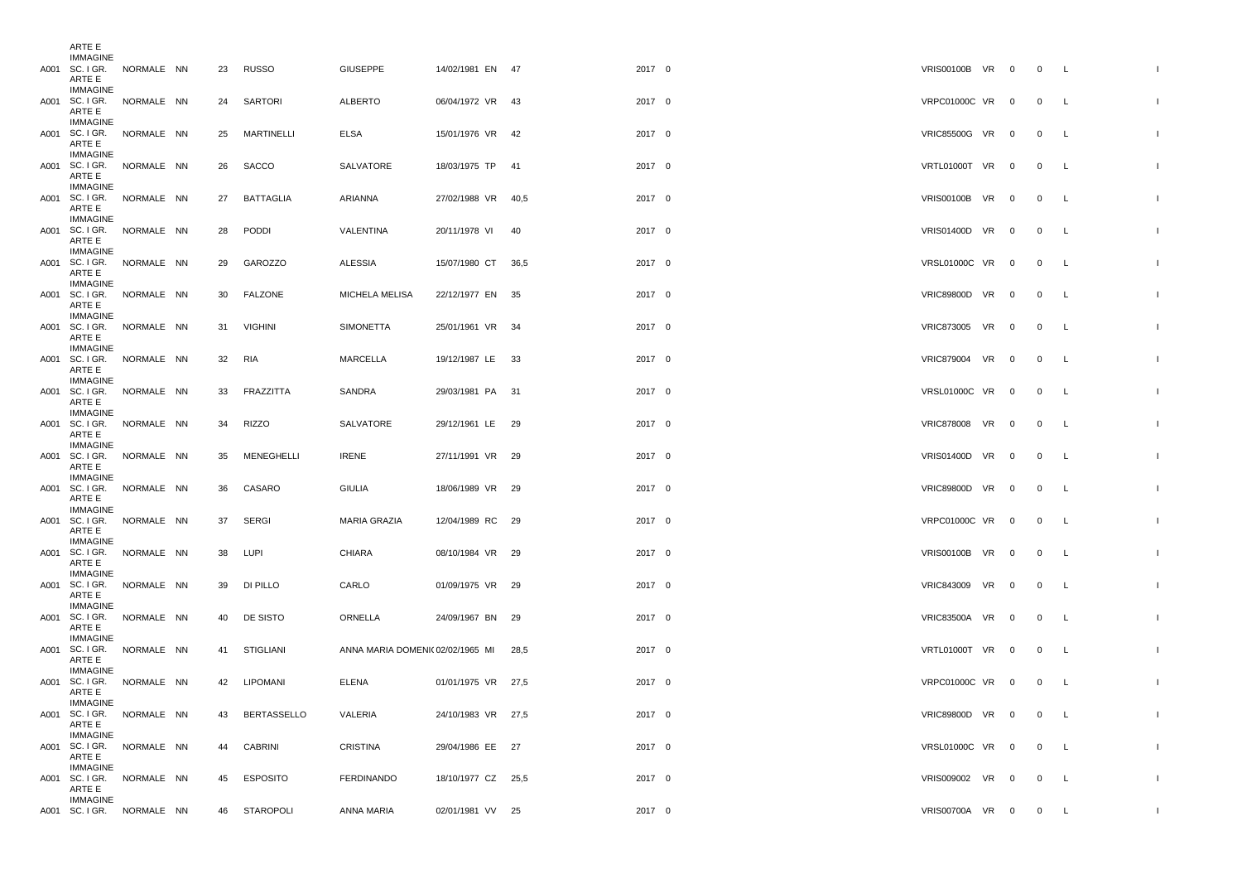| ARIE E                                       |  |        |                |                                 |                    |      |        |                     |  |                |              |              |
|----------------------------------------------|--|--------|----------------|---------------------------------|--------------------|------|--------|---------------------|--|----------------|--------------|--------------|
| IMMAGINE<br>A001 SC. I GR. NORMALE NN        |  |        | 23 RUSSO       | <b>GIUSEPPE</b>                 | 14/02/1981 EN 47   |      | 2017 0 | VRIS00100B VR 0     |  | $\overline{0}$ | $\mathsf{L}$ |              |
| ARTE E                                       |  |        |                |                                 |                    |      |        |                     |  |                |              |              |
| <b>IMMAGINE</b>                              |  |        |                |                                 |                    |      |        |                     |  |                |              |              |
| A001 SC. I GR. NORMALE NN<br>ARTE E          |  |        | 24 SARTORI     | <b>ALBERTO</b>                  | 06/04/1972 VR 43   |      | 2017 0 | VRPC01000C VR 0     |  | 0 L            |              |              |
| IMMAGINE                                     |  |        |                |                                 |                    |      |        |                     |  |                |              |              |
| A001 SC. I GR. NORMALE NN                    |  |        | 25 MARTINELLI  | ELSA                            | 15/01/1976 VR 42   |      | 2017 0 | VRIC85500G VR 0     |  | $\overline{0}$ | L            |              |
| ARTE E                                       |  |        |                |                                 |                    |      |        |                     |  |                |              |              |
| <b>IMMAGINE</b><br>A001 SC. I GR. NORMALE NN |  |        |                |                                 |                    |      |        |                     |  |                |              |              |
| ARTE E                                       |  | 26     | SACCO          | SALVATORE                       | 18/03/1975 TP 41   |      | 2017 0 | VRTL01000T VR 0     |  | $\mathbf{0}$   | L            |              |
| <b>IMMAGINE</b>                              |  |        |                |                                 |                    |      |        |                     |  |                |              |              |
| A001 SC. I GR. NORMALE NN                    |  |        | 27 BATTAGLIA   | ARIANNA                         | 27/02/1988 VR 40,5 |      | 2017 0 | VRIS00100B VR 0     |  | 0 L            |              |              |
| ARTE E<br>IMMAGINE                           |  |        |                |                                 |                    |      |        |                     |  |                |              |              |
| A001 SC. I GR. NORMALE NN                    |  |        | 28 PODDI       | VALENTINA                       | 20/11/1978 VI      | - 40 | 2017 0 | VRIS01400D VR 0     |  | $\mathbf{0}$   | L.           |              |
| ARTE E                                       |  |        |                |                                 |                    |      |        |                     |  |                |              |              |
| IMMAGINE                                     |  |        |                |                                 |                    |      |        |                     |  |                |              |              |
| A001 SC. I GR. NORMALE NN                    |  | 29     | <b>GAROZZO</b> | ALESSIA                         | 15/07/1980 CT 36,5 |      | 2017 0 | VRSL01000C VR 0     |  | $\overline{0}$ | L.           |              |
| ARTE E<br><b>IMMAGINE</b>                    |  |        |                |                                 |                    |      |        |                     |  |                |              |              |
| A001 SC. I GR. NORMALE NN                    |  |        | 30 FALZONE     | MICHELA MELISA                  | 22/12/1977 EN 35   |      | 2017 0 | VRIC89800D VR 0     |  | $\overline{0}$ | L.           |              |
| ARTE E                                       |  |        |                |                                 |                    |      |        |                     |  |                |              |              |
| <b>IMMAGINE</b><br>A001 SC. I GR. NORMALE NN |  |        | 31 VIGHINI     | SIMONETTA                       | 25/01/1961 VR 34   |      | 2017 0 | VRIC873005 VR 0     |  | $\overline{0}$ | L            |              |
| ARTE E                                       |  |        |                |                                 |                    |      |        |                     |  |                |              |              |
| <b>IMMAGINE</b>                              |  |        |                |                                 |                    |      |        |                     |  |                |              |              |
| A001 SC. I GR. NORMALE NN                    |  | 32 RIA |                | MARCELLA                        | 19/12/1987 LE 33   |      | 2017 0 | VRIC879004 VR 0     |  | $\overline{0}$ | L            |              |
| ARTE E<br><b>IMMAGINE</b>                    |  |        |                |                                 |                    |      |        |                     |  |                |              |              |
| A001 SC. I GR. NORMALE NN                    |  | 33     | FRAZZITTA      | SANDRA                          | 29/03/1981 PA 31   |      | 2017 0 | VRSL01000C VR 0     |  | $\mathbf{0}$   | L            |              |
| ARTE E                                       |  |        |                |                                 |                    |      |        |                     |  |                |              |              |
| <b>IMMAGINE</b>                              |  |        |                |                                 |                    |      |        |                     |  |                |              |              |
| A001 SC. I GR. NORMALE NN<br>ARTE E          |  |        | 34 RIZZO       | SALVATORE                       | 29/12/1961 LE 29   |      | 2017 0 | VRIC878008 VR 0     |  | $\overline{0}$ | L.           |              |
| <b>IMMAGINE</b>                              |  |        |                |                                 |                    |      |        |                     |  |                |              |              |
| A001 SC. I GR. NORMALE NN                    |  | 35     | MENEGHELLI     | <b>IRENE</b>                    | 27/11/1991 VR 29   |      | 2017 0 | VRIS01400D VR 0     |  | 0 L            |              |              |
| ARTE E<br><b>IMMAGINE</b>                    |  |        |                |                                 |                    |      |        |                     |  |                |              |              |
| A001 SC. I GR. NORMALE NN                    |  | 36     | CASARO         | <b>GIULIA</b>                   | 18/06/1989 VR 29   |      | 2017 0 | VRIC89800D VR 0     |  | $\overline{0}$ | L            |              |
| ARTE E                                       |  |        |                |                                 |                    |      |        |                     |  |                |              |              |
| IMMAGINE                                     |  |        |                |                                 |                    |      |        |                     |  |                |              |              |
| A001 SC. I GR. NORMALE NN<br>ARTE E          |  | 37     | SERGI          | <b>MARIA GRAZIA</b>             | 12/04/1989 RC 29   |      | 2017 0 | VRPC01000C VR 0     |  | $\overline{0}$ | L            |              |
| <b>IMMAGINE</b>                              |  |        |                |                                 |                    |      |        |                     |  |                |              |              |
| A001 SC. I GR. NORMALE NN                    |  |        | 38 LUPI        | CHIARA                          | 08/10/1984 VR 29   |      | 2017 0 | VRIS00100B VR 0     |  | 0 L            |              |              |
| ARTE E                                       |  |        |                |                                 |                    |      |        |                     |  |                |              |              |
| IMMAGINE<br>A001 SC. I GR. NORMALE NN        |  |        | 39 DI PILLO    | CARLO                           | 01/09/1975 VR 29   |      | 2017 0 | VRIC843009 VR 0     |  | $\mathbf{0}$   | L            |              |
| ARTE E                                       |  |        |                |                                 |                    |      |        |                     |  |                |              |              |
| IMMAGINE                                     |  |        |                |                                 |                    |      |        |                     |  |                |              |              |
| A001 SC. I GR. NORMALE NN<br>ARTE E          |  |        | 40 DE SISTO    | ORNELLA                         | 24/09/1967 BN 29   |      | 2017 0 | VRIC83500A VR 0     |  | $\overline{0}$ | L            |              |
| <b>IMMAGINE</b>                              |  |        |                |                                 |                    |      |        |                     |  |                |              |              |
| A001 SC. I GR. NORMALE NN                    |  |        | 41 STIGLIANI   | ANNA MARIA DOMENI(02/02/1965 MI |                    | 28,5 | 2017 0 | VRTL01000T VR 0     |  | 0 L            |              |              |
| ARTE E                                       |  |        |                |                                 |                    |      |        |                     |  |                |              |              |
| IMMAGINE<br>A001 SC. I GR. NORMALE NN        |  |        | 42 LIPOMANI    | ELENA                           | 01/01/1975 VR 27.5 |      | 2017 0 | VRPC01000C VR 0     |  | $\overline{0}$ | L.           |              |
| ARTE E                                       |  |        |                |                                 |                    |      |        |                     |  |                |              |              |
| <b>IMMAGINE</b>                              |  |        |                |                                 |                    |      |        |                     |  |                |              |              |
| A001 SC. I GR. NORMALE NN                    |  |        | 43 BERTASSELLO | VALERIA                         | 24/10/1983 VR 27,5 |      | 2017 0 | VRIC89800D VR 0 0 L |  |                |              | -1           |
| ARTE E<br><b>IMMAGINE</b>                    |  |        |                |                                 |                    |      |        |                     |  |                |              |              |
| A001 SC. I GR. NORMALE NN                    |  |        | 44 CABRINI     | CRISTINA                        | 29/04/1986 EE 27   |      | 2017 0 | VRSL01000C VR 0 0 L |  |                |              |              |
| ARTE E                                       |  |        |                |                                 |                    |      |        |                     |  |                |              |              |
| IMMAGINE<br>A001 SC. I GR. NORMALE NN        |  |        |                | <b>FERDINANDO</b>               |                    |      |        |                     |  |                |              |              |
| ARTE E                                       |  |        | 45 ESPOSITO    |                                 | 18/10/1977 CZ 25,5 |      | 2017 0 | VRIS009002 VR 0     |  | 0 L            |              | $\mathbf{I}$ |
| IMMAGINE                                     |  |        |                |                                 |                    |      |        |                     |  |                |              |              |
| A001 SC. I GR. NORMALE NN                    |  |        | 46 STAROPOLI   | ANNA MARIA                      | 02/01/1981 VV 25   |      | 2017 0 | VRIS00700A VR 0 0 L |  |                |              | $\mathbf{I}$ |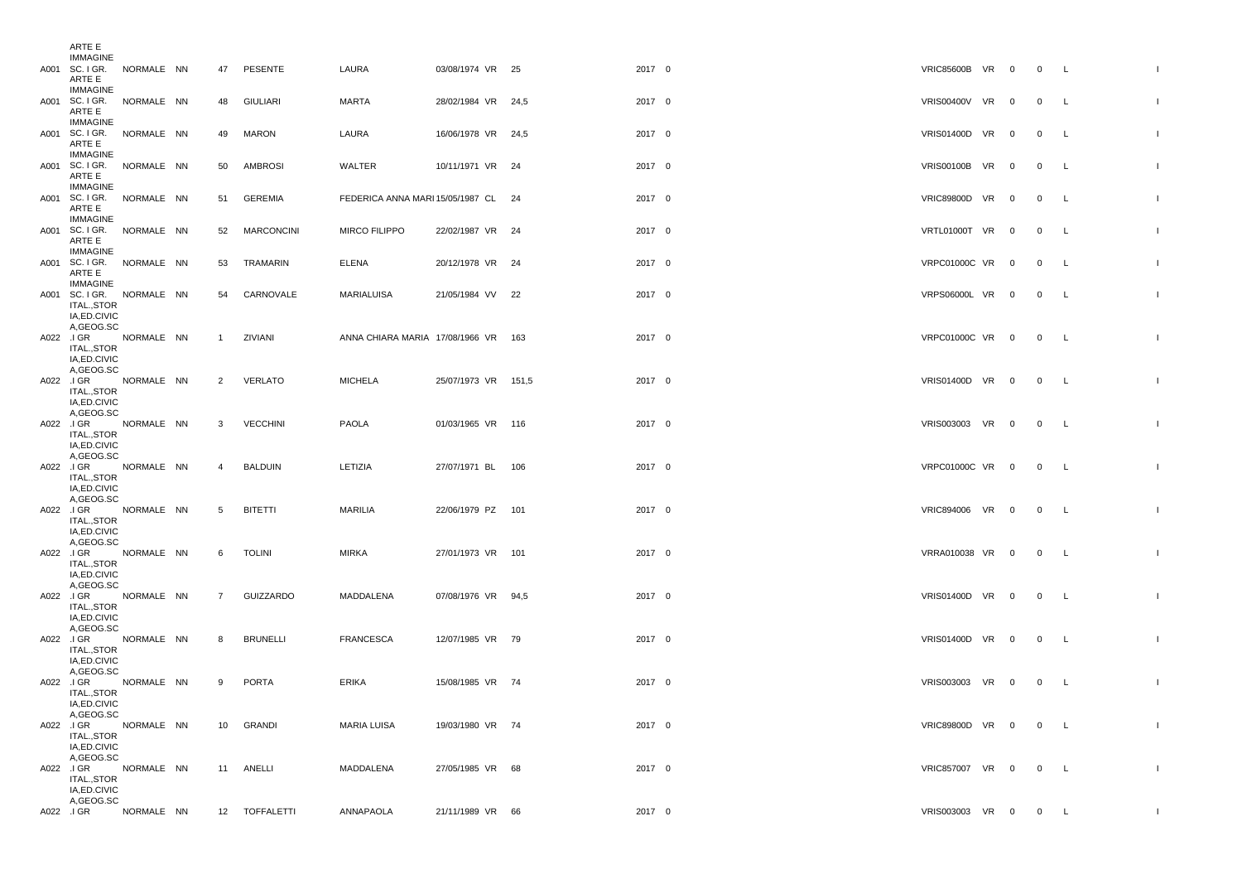|           | ARTE E                                                              |            |                |                 |                                     |                     |        |                     |  |                |              |              |
|-----------|---------------------------------------------------------------------|------------|----------------|-----------------|-------------------------------------|---------------------|--------|---------------------|--|----------------|--------------|--------------|
|           | <b>IMMAGINE</b><br>A001 SC. I GR. NORMALE NN<br>ARTE E              |            |                | 47 PESENTE      | LAURA                               | 03/08/1974 VR 25    | 2017 0 | VRIC85600B VR 0 0 L |  |                |              |              |
|           | <b>IMMAGINE</b><br>A001 SC. I GR. NORMALE NN<br>ARTE E              |            |                | 48 GIULIARI     | MARTA                               | 28/02/1984 VR 24,5  | 2017 0 | VRIS00400V VR 0     |  | $0\qquad L$    |              |              |
|           | IMMAGINE<br>A001 SC. I GR. NORMALE NN<br>ARTE E                     |            |                | 49 MARON        | LAURA                               | 16/06/1978 VR 24,5  | 2017 0 | VRIS01400D VR 0     |  | $\overline{0}$ | $\mathsf{L}$ |              |
|           | IMMAGINE<br>A001 SC. I GR. NORMALE NN<br>ARTE E                     |            |                | 50 AMBROSI      | WALTER                              | 10/11/1971 VR 24    | 2017 0 | VRIS00100B VR 0 0 L |  |                |              |              |
|           | IMMAGINE<br>A001 SC. I GR. NORMALE NN<br>ARTE E                     |            |                | 51 GEREMIA      | FEDERICA ANNA MARI 15/05/1987 CL 24 |                     | 2017 0 | VRIC89800D VR 0     |  | $\overline{0}$ | $\mathsf{L}$ |              |
|           | IMMAGINE<br>A001 SC. I GR. NORMALE NN<br>ARTE E                     |            |                | 52 MARCONCINI   | <b>MIRCO FILIPPO</b>                | 22/02/1987 VR 24    | 2017 0 | VRTL01000T VR 0     |  | $\overline{0}$ | L.           |              |
|           | IMMAGINE<br>A001 SC. I GR. NORMALE NN<br>ARTE E                     |            |                | 53 TRAMARIN     | ELENA                               | 20/12/1978 VR 24    | 2017 0 | VRPC01000C VR 0     |  | 0 L            |              |              |
|           | IMMAGINE<br>A001 SC. I GR. NORMALE NN<br>ITAL., STOR<br>IA,ED.CIVIC |            |                | 54 CARNOVALE    | MARIALUISA                          | 21/05/1984 VV 22    | 2017 0 | VRPS06000L VR 0     |  | $\overline{0}$ | $\mathsf{L}$ |              |
|           | A,GEOG.SC<br>A022 JGR NORMALE NN<br>ITAL.,STOR                      |            | $\overline{1}$ | ZIVIANI         | ANNA CHIARA MARIA 17/08/1966 VR 163 |                     | 2017 0 | VRPC01000C VR 0 0 L |  |                |              |              |
|           | IA, ED. CIVIC<br>A,GEOG.SC<br>A022 J GR NORMALE NN<br>ITAL., STOR   |            |                | 2 VERLATO       | MICHELA                             | 25/07/1973 VR 151,5 | 2017 0 | VRIS01400D VR 0 0 L |  |                |              |              |
|           | IA.ED.CIVIC<br>A,GEOG.SC<br>A022 I GR NORMALE NN<br>ITAL.,STOR      |            | 3              | <b>VECCHINI</b> | PAOLA                               | 01/03/1965 VR 116   | 2017 0 | VRIS003003 VR 0     |  | $0\qquad L$    |              |              |
|           | IA,ED.CIVIC<br>A.GEOG.SC<br>A022 I GR NORMALE NN<br>ITAL.,STOR      |            | $\overline{4}$ | BALDUIN         | LETIZIA                             | 27/07/1971 BL 106   | 2017 0 | VRPC01000C VR 0 0 L |  |                |              |              |
|           | IA, ED. CIVIC<br>A,GEOG.SC<br>A022 J GR NORMALE NN                  |            | 5              | <b>BITETTI</b>  | MARILIA                             | 22/06/1979 PZ 101   | 2017 0 | VRIC894006 VR 0 0 L |  |                |              |              |
|           | ITAL., STOR<br>IA, ED. CIVIC<br>A,GEOG.SC                           |            |                |                 |                                     |                     |        |                     |  |                |              |              |
|           | A022 J GR NORMALE NN<br>ITAL., STOR<br>IA, ED. CIVIC                |            | 6              | <b>TOLINI</b>   | MIRKA                               | 27/01/1973 VR 101   | 2017 0 | VRRA010038 VR 0     |  | $0\qquad L$    |              |              |
|           | A,GEOG.SC<br>A022 JGR NORMALE NN<br>ITAL., STOR<br>IA,ED.CIVIC      |            | $\overline{7}$ | GUIZZARDO       | MADDALENA                           | 07/08/1976 VR 94,5  | 2017 0 | VRIS01400D VR 0     |  | 0 L            |              |              |
|           | A,GEOG.SC<br>A022 I GR NORMALE NN<br>ITAL.,STOR                     |            | 8              | BRUNELLI        | FRANCESCA                           | 12/07/1985 VR 79    | 2017 0 | VRIS01400D VR 0 0 L |  |                |              |              |
|           | IA, ED. CIVIC<br>A,GEOG.SC<br>A022 I GR NORMALE NN<br>ITAL.,STOR    |            | 9              | PORTA           | ERIKA                               | 15/08/1985 VR 74    | 2017 0 | VRIS003003 VR 0     |  | 0 L            |              |              |
|           | IA, ED. CIVIC<br>A,GEOG.SC<br>A022 JGR NORMALE NN                   |            | 10             | GRANDI          | <b>MARIA LUISA</b>                  | 19/03/1980 VR 74    | 2017 0 | VRIC89800D VR 0     |  | $0\qquad L$    |              |              |
|           | ITAL., STOR<br>IA, ED. CIVIC<br>A,GEOG.SC                           |            |                |                 |                                     |                     |        |                     |  |                |              |              |
|           | A022 .I GR<br>ITAL., STOR<br>IA, ED. CIVIC<br>A, GEOG.SC            | NORMALE NN |                | 11 ANELLI       | MADDALENA                           | 27/05/1985 VR 68    | 2017 0 | VRIC857007 VR 0 0 L |  |                |              |              |
| A022 J GR |                                                                     | NORMALE NN |                | 12 TOFFALETTI   | ANNAPAOLA                           | 21/11/1989 VR 66    | 2017 0 | VRIS003003 VR 0 0 L |  |                |              | $\mathbf{I}$ |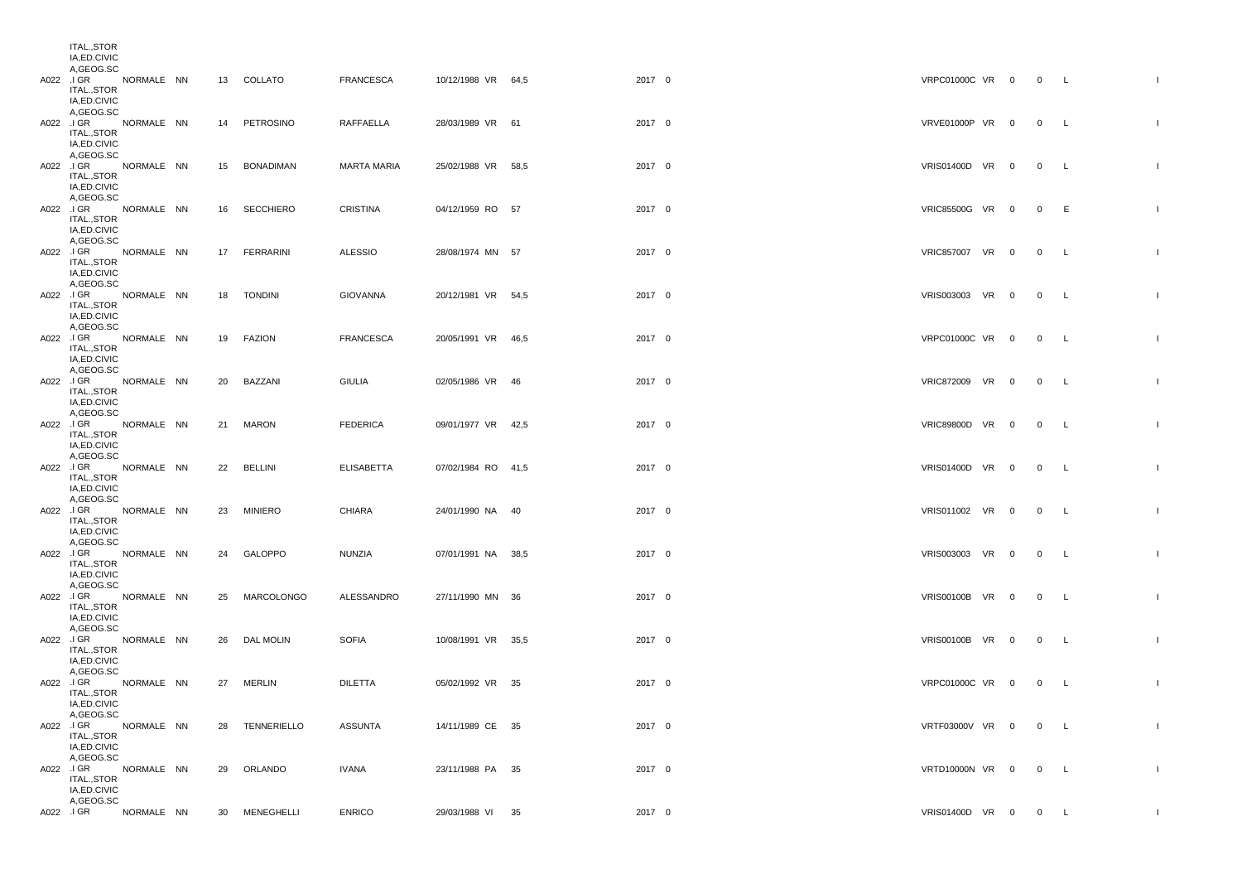| ITAL.,STOR<br>IA, ED. CIVIC<br>A,GEOG.SC                          |            |  |                |                  |                    |        |                     |  |             |              |
|-------------------------------------------------------------------|------------|--|----------------|------------------|--------------------|--------|---------------------|--|-------------|--------------|
| A022 JGR NORMALE NN<br>ITAL.,STOR<br>IA, ED. CIVIC<br>A,GEOG.SC   |            |  | 13 COLLATO     | FRANCESCA        | 10/12/1988 VR 64,5 | 2017 0 | VRPC01000C VR 0 0 L |  |             | $\mathbf{L}$ |
| A022 JGR NORMALE NN<br>ITAL.,STOR<br>IA, ED. CIVIC<br>A,GEOG.SC   |            |  | 14 PETROSINO   | <b>RAFFAELLA</b> | 28/03/1989 VR 61   | 2017 0 | VRVE01000P VR 0 0 L |  |             |              |
| A022 JGR NORMALE NN<br>ITAL., STOR<br>IA, ED. CIVIC<br>A,GEOG.SC  |            |  | 15 BONADIMAN   | MARTA MARIA      | 25/02/1988 VR 58,5 | 2017 0 | VRIS01400D VR 0     |  | $0\qquad L$ |              |
| A022 J GR NORMALE NN<br>ITAL.,STOR<br>IA, ED. CIVIC<br>A,GEOG.SC  |            |  | 16 SECCHIERO   | CRISTINA         | 04/12/1959 RO 57   | 2017 0 | VRIC85500G VR 0 0 E |  |             | $\mathbf{I}$ |
| A022 J GR NORMALE NN<br>ITAL.,STOR<br>IA,ED.CIVIC<br>A,GEOG.SC    |            |  | 17 FERRARINI   | <b>ALESSIO</b>   | 28/08/1974 MN 57   | 2017 0 | VRIC857007 VR 0 0 L |  |             |              |
| A022 J GR NORMALE NN<br>ITAL.,STOR<br>IA, ED. CIVIC<br>A,GEOG.SC  |            |  | 18 TONDINI     | GIOVANNA         | 20/12/1981 VR 54,5 | 2017 0 | VRIS003003 VR 0 0 L |  |             |              |
| A022 JGR NORMALE NN<br>ITAL.,STOR<br>IA, ED. CIVIC<br>A,GEOG.SC   |            |  | 19 FAZION      | <b>FRANCESCA</b> | 20/05/1991 VR 46,5 | 2017 0 | VRPC01000C VR 0     |  | $0\qquad L$ |              |
| A022 JGR NORMALE NN<br>ITAL.,STOR<br>IA, ED. CIVIC<br>A,GEOG.SC   |            |  | 20 BAZZANI     | GIULIA           | 02/05/1986 VR 46   | 2017 0 | VRIC872009 VR 0 0 L |  |             |              |
| A022 J GR NORMALE NN<br>ITAL.,STOR<br>IA, ED. CIVIC<br>A,GEOG.SC  |            |  | 21 MARON       | <b>FEDERICA</b>  | 09/01/1977 VR 42,5 | 2017 0 | VRIC89800D VR 0     |  | 0 L         |              |
| A022 JGR NORMALE NN<br>ITAL.,STOR<br>IA, ED. CIVIC<br>A,GEOG.SC   |            |  | 22 BELLINI     | ELISABETTA       | 07/02/1984 RO 41.5 | 2017 0 | VRIS01400D VR 0     |  | 0 L         |              |
| A022 JGR NORMALE NN<br>ITAL.,STOR<br>IA, ED. CIVIC<br>A,GEOG.SC   |            |  | 23 MINIERO     | CHIARA           | 24/01/1990 NA 40   | 2017 0 | VRIS011002 VR 0 0 L |  |             |              |
| A022 JGR NORMALE NN<br>ITAL.,STOR<br>IA, ED. CIVIC<br>A,GEOG.SC   |            |  | 24 GALOPPO     | NUNZIA           | 07/01/1991 NA 38,5 | 2017 0 | VRIS003003 VR 0 0 L |  |             |              |
| A022 JGR NORMALE NN<br>ITAL.,STOR<br>IA, ED. CIVIC<br>A,GEOG.SC   |            |  | 25 MARCOLONGO  | ALESSANDRO       | 27/11/1990 MN 36   | 2017 0 | VRIS00100B VR 0 0 L |  |             |              |
| A022 JGR NORMALE NN<br>ITAL., STOR<br>IA, ED. CIVIC<br>A,GEOG.SC  |            |  | 26 DAL MOLIN   | <b>SOFIA</b>     | 10/08/1991 VR 35,5 | 2017 0 | VRIS00100B VR 0     |  | 0 L         |              |
| A022 J GR NORMALE NN<br>ITAL.,STOR<br>IA, ED. CIVIC<br>A,GEOG.SC  |            |  | 27 MERLIN      | <b>DILETTA</b>   | 05/02/1992 VR 35   | 2017 0 | VRPC01000C VR 0 0 L |  |             |              |
| A022 JGR NORMALE NN<br>ITAL.,STOR<br>IA, ED. CIVIC<br>A,GEOG.SC   |            |  | 28 TENNERIELLO | ASSUNTA          | 14/11/1989 CE 35   | 2017 0 | VRTF03000V VR 0 0 L |  |             | $\mathbf{I}$ |
| A022 J GR NORMALE NN<br>ITAL., STOR<br>IA, ED. CIVIC<br>A,GEOG.SC |            |  | 29 ORLANDO     | IVANA            | 23/11/1988 PA 35   | 2017 0 | VRTD10000N VR 0 0 L |  |             | $\mathbf{L}$ |
| A022 .I GR                                                        | NORMALE NN |  | 30 MENEGHELLI  | <b>ENRICO</b>    | 29/03/1988 VI 35   | 2017 0 | VRIS01400D VR 0 0 L |  |             | $\mathbf{I}$ |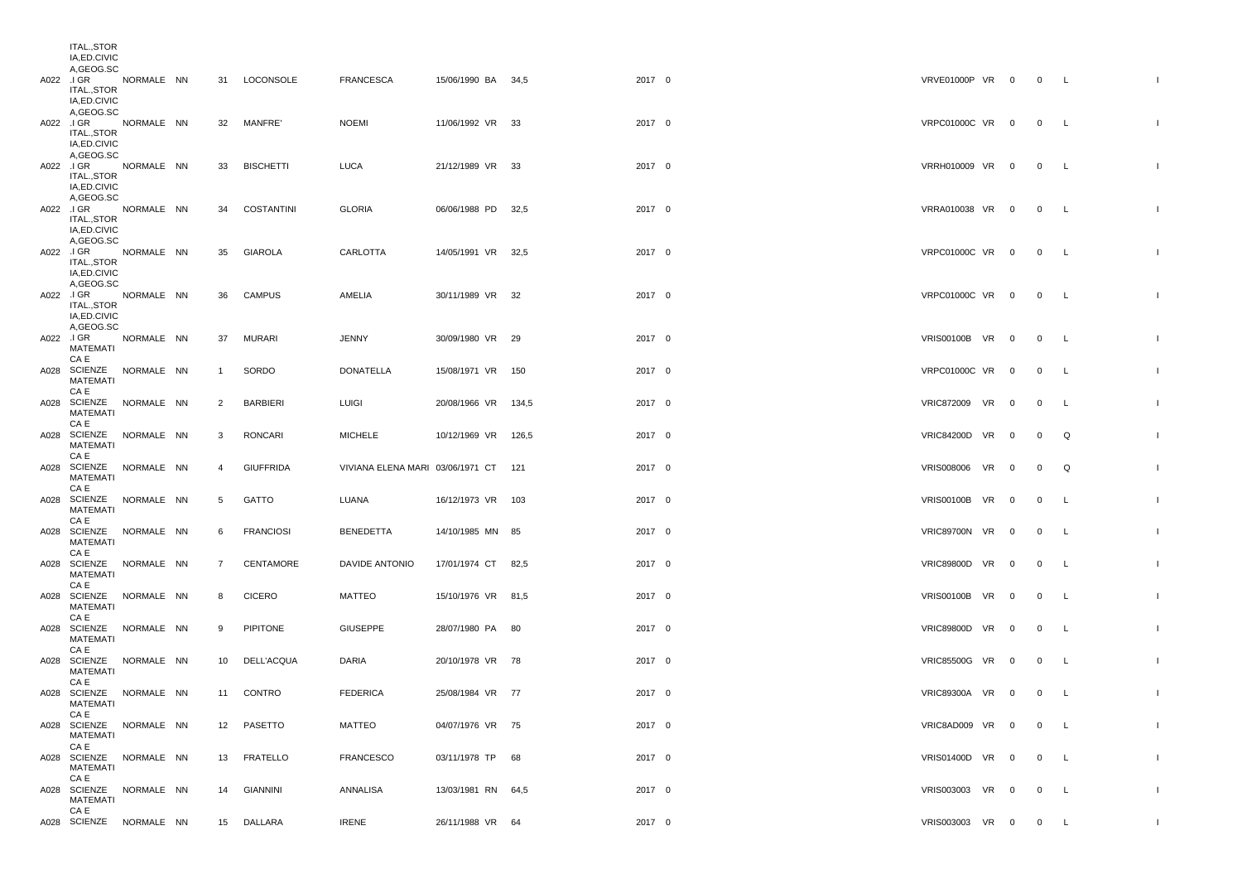| ITAL.,STOR<br>IA, ED. CIVIC<br>A,GEOG.SC                         |  |              |                  |                                      |                     |        |        |                     |                         |                |              |              |
|------------------------------------------------------------------|--|--------------|------------------|--------------------------------------|---------------------|--------|--------|---------------------|-------------------------|----------------|--------------|--------------|
| A022 JGR NORMALE NN<br>ITAL.,STOR<br>IA, ED. CIVIC               |  |              | 31 LOCONSOLE     | <b>FRANCESCA</b>                     | 15/06/1990 BA 34,5  | 2017 0 |        | VRVE01000P VR 0 0 L |                         |                |              |              |
| A,GEOG.SC<br>A022 JGR NORMALE NN<br>ITAL.,STOR<br>IA, ED. CIVIC  |  |              | 32 MANFRE'       | <b>NOEMI</b>                         | 11/06/1992 VR 33    | 2017 0 |        | VRPC01000C VR 0     |                         | $0\qquad L$    |              |              |
| A,GEOG.SC<br>A022 J GR NORMALE NN<br>ITAL.,STOR<br>IA, ED. CIVIC |  | 33           | <b>BISCHETTI</b> | LUCA                                 | 21/12/1989 VR 33    | 2017 0 |        | VRRH010009 VR 0     |                         | $0\qquad L$    |              |              |
| A,GEOG.SC<br>A022 JGR NORMALE NN<br>ITAL.,STOR<br>IA, ED. CIVIC  |  |              | 34 COSTANTINI    | GLORIA                               | 06/06/1988 PD 32,5  | 2017 0 |        | VRRA010038 VR 0 0 L |                         |                |              |              |
| A,GEOG.SC<br>A022 J GR NORMALE NN<br>ITAL.,STOR<br>IA, ED. CIVIC |  | 35           | GIAROLA          | CARLOTTA                             | 14/05/1991 VR 32,5  | 2017 0 |        | VRPC01000C VR 0 0 L |                         |                |              |              |
| A,GEOG.SC<br>A022 J GR NORMALE NN<br>ITAL.,STOR<br>IA, ED. CIVIC |  | 36           | CAMPUS           | AMELIA                               | 30/11/1989 VR 32    | 2017 0 |        | VRPC01000C VR 0     |                         | $0\qquad L$    |              |              |
| A,GEOG.SC<br>A022 JGR NORMALE NN<br>MATEMATI<br>CA E             |  | 37           | MURARI           | JENNY                                | 30/09/1980 VR 29    | 2017 0 |        | VRIS00100B VR 0     |                         | $0\qquad L$    |              |              |
| A028 SCIENZE NORMALE NN<br><b>MATEMATI</b><br>CA E               |  | $\mathbf{1}$ | SORDO            | DONATELLA                            | 15/08/1971 VR 150   |        | 2017 0 | VRPC01000C VR 0     |                         | $0\qquad L$    |              |              |
| A028 SCIENZE NORMALE NN<br>MATEMATI<br>CA E                      |  | 2            | BARBIERI         | LUIGI                                | 20/08/1966 VR 134,5 | 2017 0 |        | VRIC872009 VR 0     |                         | $0\qquad L$    |              |              |
| A028 SCIENZE NORMALE NN<br>MATEMATI<br>CA E                      |  | 3            | RONCARI          | <b>MICHELE</b>                       | 10/12/1969 VR 126,5 | 2017 0 |        | VRIC84200D VR 0     |                         | $\overline{0}$ | Q            |              |
| A028 SCIENZE NORMALE NN<br>MATEMATI                              |  | 4            | <b>GIUFFRIDA</b> | VIVIANA ELENA MARI 03/06/1971 CT 121 |                     | 2017 0 |        | VRIS008006 VR       | $\overline{\mathbf{0}}$ | 0              | Q            |              |
| CA E<br>A028 SCIENZE NORMALE NN<br>MATEMATI                      |  | 5            | <b>GATTO</b>     | LUANA                                | 16/12/1973 VR 103   | 2017 0 |        | VRIS00100B VR 0     |                         | $0\qquad L$    |              |              |
| CA E<br>A028 SCIENZE NORMALE NN<br>MATEMATI                      |  | 6            | <b>FRANCIOSI</b> | <b>BENEDETTA</b>                     | 14/10/1985 MN 85    | 2017 0 |        | VRIC89700N VR 0     |                         | $\mathbf{0}$   | $\mathsf{L}$ |              |
| CA E<br>A028 SCIENZE NORMALE NN<br>MATEMATI<br>CA E              |  | $7^{\circ}$  | CENTAMORE        | DAVIDE ANTONIO                       | 17/01/1974 CT 82,5  | 2017 0 |        | VRIC89800D VR 0     |                         | $\overline{0}$ | $\mathsf{L}$ |              |
| A028 SCIENZE NORMALE NN<br>MATEMATI<br>CA E                      |  | 8            | <b>CICERO</b>    | MATTEO                               | 15/10/1976 VR 81,5  | 2017 0 |        | VRIS00100B VR 0     |                         | $0\qquad L$    |              |              |
| A028 SCIENZE NORMALE NN<br>MATEMATI<br>CA E                      |  | 9            | PIPITONE         | <b>GIUSEPPE</b>                      | 28/07/1980 PA 80    | 2017 0 |        | VRIC89800D VR 0     |                         | $\overline{0}$ | $\mathsf{L}$ |              |
| A028 SCIENZE NORMALE NN<br>MATEMATI<br>CA E                      |  |              | 10 DELL'ACQUA    | DARIA                                | 20/10/1978 VR 78    | 2017 0 |        | VRIC85500G VR 0     |                         | $\overline{0}$ | L.           |              |
| A028 SCIENZE NORMALE NN<br>MATEMATI                              |  |              | 11 CONTRO        | <b>FEDERICA</b>                      | 25/08/1984 VR 77    | 2017 0 |        | VRIC89300A VR 0     |                         | $\overline{0}$ | $\mathsf{L}$ |              |
| CA E<br>A028 SCIENZE NORMALE NN<br>MATEMATI                      |  |              | 12 PASETTO       | MATTEO                               | 04/07/1976 VR 75    | 2017 0 |        | VRIC8AD009 VR 0     |                         | $0 \quad L$    |              | $\mathbf{I}$ |
| CA E<br>A028 SCIENZE NORMALE NN<br><b>MATEMATI</b>               |  |              | 13 FRATELLO      | <b>FRANCESCO</b>                     | 03/11/1978 TP 68    | 2017 0 |        | VRIS01400D VR 0     |                         | $0\qquad L$    |              | $\mathbf{L}$ |
| CA E<br>A028 SCIENZE NORMALE NN<br>MATEMATI<br>CA E              |  | 14           | GIANNINI         | ANNALISA                             | 13/03/1981 RN 64,5  | 2017 0 |        | VRIS003003 VR 0     |                         | $\overline{0}$ | $\mathsf{L}$ | $\mathbf{L}$ |
| A028 SCIENZE NORMALE NN                                          |  |              | 15 DALLARA       | <b>IRENE</b>                         | 26/11/1988 VR 64    | 2017 0 |        | VRIS003003 VR 0     |                         | $0\qquad L$    |              | $\mathbf{I}$ |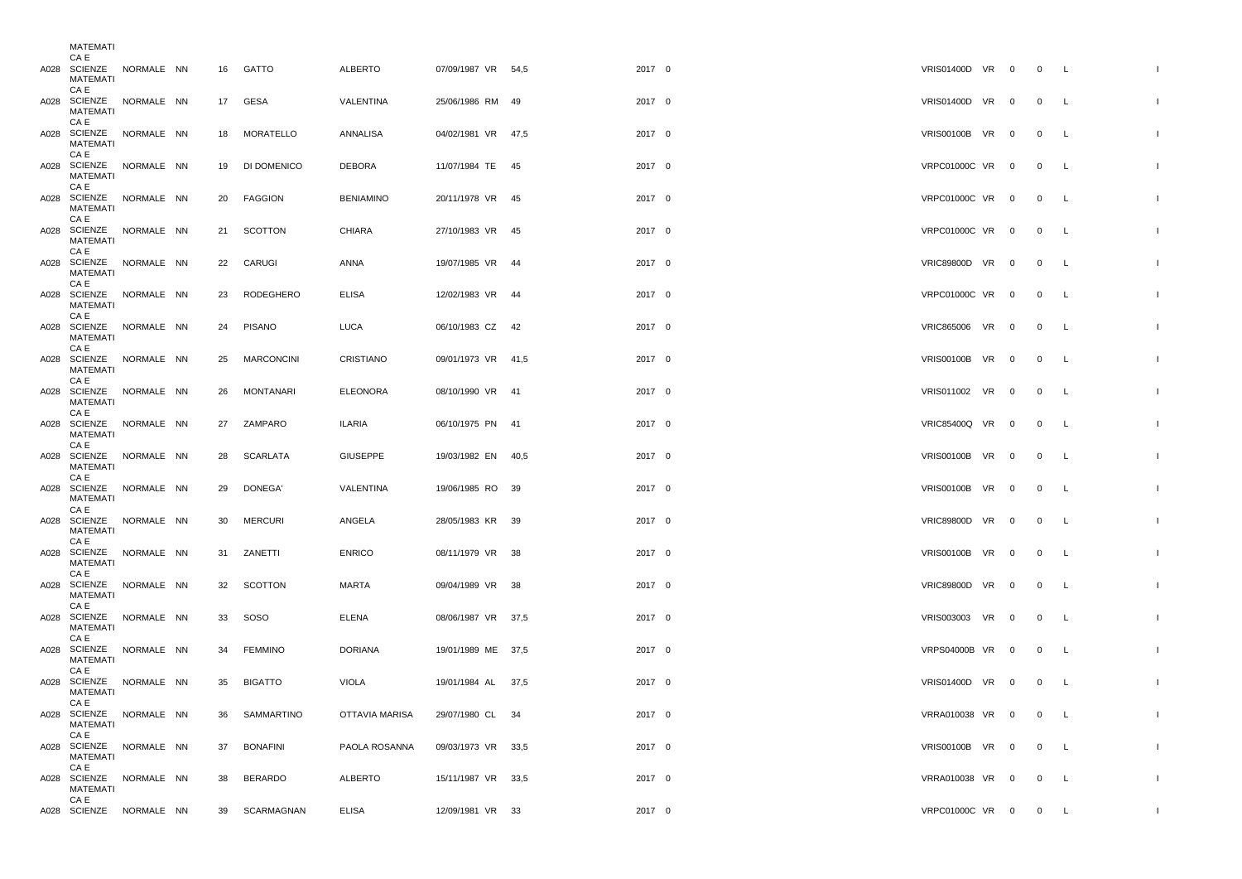| MAIEMAII                                                               |  |    |                            |                              |                                        |                  |                                    |  |                                |                          |              |
|------------------------------------------------------------------------|--|----|----------------------------|------------------------------|----------------------------------------|------------------|------------------------------------|--|--------------------------------|--------------------------|--------------|
| CA E<br>A028 SCIENZE NORMALE NN<br>MATEMATI<br>CA E                    |  |    | 16 GATTO                   | ALBERTO                      | 07/09/1987 VR 54,5                     | 2017 0           | VRIS01400D VR 0                    |  | 0 L                            |                          |              |
| A028 SCIENZE NORMALE NN<br>MATEMATI<br>CA E                            |  |    | 17 GESA                    | VALENTINA                    | 25/06/1986 RM 49                       | 2017 0           | VRIS01400D VR 0                    |  | 0 L                            |                          |              |
| A028 SCIENZE NORMALE NN<br>MATEMATI<br>CA E                            |  |    | 18 MORATELLO               | ANNALISA                     | 04/02/1981 VR 47,5                     | 2017 0           | VRIS00100B VR 0                    |  | $\overline{0}$                 | $\mathsf{L}$             |              |
| A028 SCIENZE NORMALE NN<br>MATEMATI<br>CA E                            |  | 19 | DI DOMENICO                | DEBORA                       | 11/07/1984 TE 45                       | 2017 0           | VRPC01000C VR 0                    |  | $\mathbf{0}$                   | L                        |              |
| A028 SCIENZE NORMALE NN<br>MATEMATI<br>CA E                            |  |    | 20 FAGGION                 | <b>BENIAMINO</b>             | 20/11/1978 VR 45                       | 2017 0           | VRPC01000C VR 0                    |  | 0 L                            |                          |              |
| A028 SCIENZE NORMALE NN<br>MATEMATI<br>CA E                            |  |    | 21 SCOTTON                 | <b>CHIARA</b>                | 27/10/1983 VR 45                       | 2017 0           | VRPC01000C VR 0                    |  | $\overline{0}$                 | $\mathsf{L}$             |              |
| A028 SCIENZE NORMALE NN<br>MATEMATI<br>CA E                            |  |    | 22 CARUGI                  | ANNA                         | 19/07/1985 VR 44                       | 2017 0           | VRIC89800D VR 0                    |  | $\overline{0}$                 | $\mathsf{L}$             |              |
| A028 SCIENZE NORMALE NN<br>MATEMATI<br>CA E                            |  |    | 23 RODEGHERO               | <b>ELISA</b>                 | 12/02/1983 VR 44                       | 2017 0           | VRPC01000C VR 0                    |  | 0 L                            |                          |              |
| A028 SCIENZE NORMALE NN<br>MATEMATI<br>CA E                            |  | 24 | PISANO                     | LUCA                         | 06/10/1983 CZ 42                       | 2017 0           | VRIC865006 VR 0                    |  | $\overline{0}$                 | $\mathsf{L}$             |              |
| A028 SCIENZE NORMALE NN<br>MATEMATI<br>CA E<br>A028 SCIENZE NORMALE NN |  |    | 25 MARCONCINI              | CRISTIANO<br><b>ELEONORA</b> | 09/01/1973 VR 41,5<br>08/10/1990 VR 41 | 2017 0           | VRIS00100B VR 0<br>VRIS011002 VR 0 |  | $\overline{0}$                 | $\mathsf{L}$             |              |
| MATEMATI<br>CA E<br>A028 SCIENZE NORMALE NN                            |  |    | 26 MONTANARI<br>27 ZAMPARO | ILARIA                       | 06/10/1975 PN 41                       | 2017 0<br>2017 0 | VRIC85400Q VR 0                    |  | $\mathbf{0}$<br>$\overline{0}$ | <b>L</b><br>$\mathsf{L}$ |              |
| MATEMATI<br>CA E<br>A028 SCIENZE NORMALE NN                            |  |    | 28 SCARLATA                | <b>GIUSEPPE</b>              | 19/03/1982 EN 40,5                     | 2017 0           | VRIS00100B VR 0                    |  | 0 L                            |                          |              |
| MATEMATI<br>CA E<br>A028 SCIENZE NORMALE NN                            |  | 29 | DONEGA'                    | VALENTINA                    | 19/06/1985 RO 39                       | 2017 0           | VRIS00100B VR 0                    |  | $\mathbf{0}$                   | L.                       |              |
| MATEMATI<br>CA E<br>A028 SCIENZE NORMALE NN                            |  | 30 | MERCURI                    | ANGELA                       | 28/05/1983 KR 39                       | 2017 0           | VRIC89800D VR 0                    |  | $\overline{0}$                 | L                        |              |
| MATEMATI<br>CA E<br>A028 SCIENZE NORMALE NN                            |  |    | 31 ZANETTI                 | <b>ENRICO</b>                | 08/11/1979 VR 38                       | 2017 0           | VRIS00100B VR 0                    |  | 0 L                            |                          |              |
| MATEMATI<br>CA E<br>A028 SCIENZE NORMALE NN                            |  |    | 32 SCOTTON                 | MARTA                        | 09/04/1989 VR 38                       | 2017 0           | VRIC89800D VR 0                    |  | $\mathbf{0}$                   | L.                       |              |
| MATEMATI<br>CA E<br>A028 SCIENZE NORMALE NN                            |  |    | 33 SOSO                    | ELENA                        | 08/06/1987 VR 37,5                     | 2017 0           | VRIS003003 VR 0                    |  | $\overline{0}$                 | $\mathsf{L}$             |              |
| MATEMATI<br>CA E<br>A028 SCIENZE NORMALE NN                            |  |    | 34 FEMMINO                 | <b>DORIANA</b>               | 19/01/1989 ME 37,5                     | 2017 0           | VRPS04000B VR 0                    |  | 0 L                            |                          |              |
| MATEMATI<br>CA E<br>A028 SCIENZE NORMALE NN                            |  | 35 | BIGATTO                    | VIOLA                        | 19/01/1984 AL 37.5                     | 2017 0           | VRIS01400D VR 0                    |  | $\mathbf{0}$                   | $\mathsf{L}$             |              |
| MATEMATI<br>CA E<br>A028 SCIENZE NORMALE NN                            |  |    | 36 SAMMARTINO              | OTTAVIA MARISA               | 29/07/1980 CL 34                       | 2017 0           | VRRA010038 VR 0 0 L                |  |                                |                          | -1           |
| MATEMATI<br>CA E<br>A028 SCIENZE NORMALE NN                            |  | 37 | <b>BONAFINI</b>            | PAOLA ROSANNA                | 09/03/1973 VR 33.5                     | 2017 0           | VRIS00100B VR 0                    |  | 0 L                            |                          |              |
| MATEMATI<br>CA E<br>A028 SCIENZE NORMALE NN<br>MATEMATI                |  | 38 | BERARDO                    | ALBERTO                      | 15/11/1987 VR 33,5                     | 2017 0           | VRRA010038 VR 0                    |  | 0 L                            |                          | $\mathbf{I}$ |
| CA E<br>A028 SCIENZE NORMALE NN                                        |  |    | 39 SCARMAGNAN              | <b>ELISA</b>                 | 12/09/1981 VR 33                       | 2017 0           | VRPC01000C VR 0 0 L                |  |                                |                          | л.           |
|                                                                        |  |    |                            |                              |                                        |                  |                                    |  |                                |                          |              |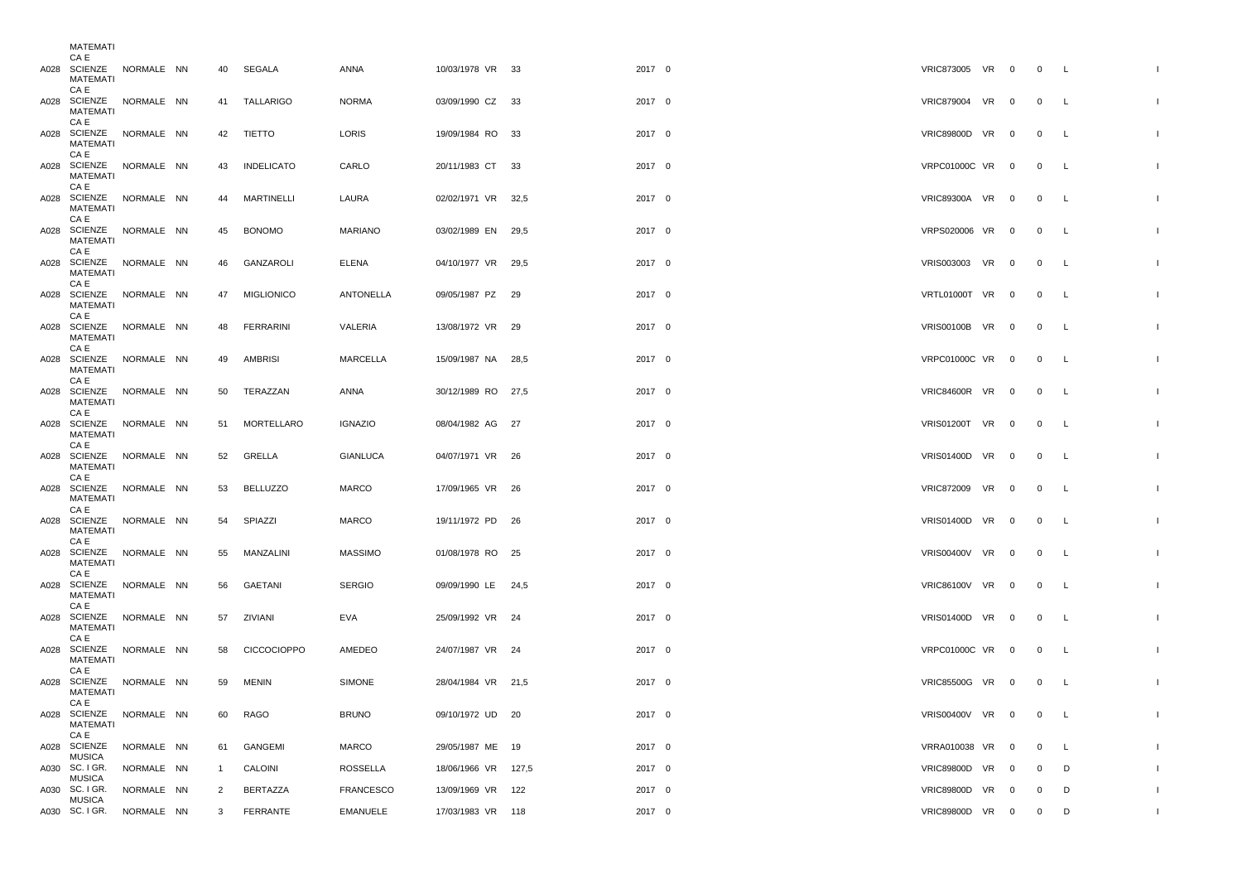| MAILMAII                                                               |                          |                                |                            |                                     |                                          |                  |                                    |  |                                  |                          |              |
|------------------------------------------------------------------------|--------------------------|--------------------------------|----------------------------|-------------------------------------|------------------------------------------|------------------|------------------------------------|--|----------------------------------|--------------------------|--------------|
| CA E<br>A028 SCIENZE NORMALE NN<br>MATEMATI<br>CA E                    |                          | 40                             | SEGALA                     | ANNA                                | 10/03/1978 VR 33                         | 2017 0           | VRIC873005 VR 0                    |  | $0\qquad L$                      |                          |              |
| A028 SCIENZE NORMALE NN<br>MATEMATI<br>CA E                            |                          |                                | 41 TALLARIGO               | <b>NORMA</b>                        | 03/09/1990 CZ 33                         | 2017 0           | VRIC879004 VR 0                    |  | $0\qquad L$                      |                          |              |
| A028 SCIENZE NORMALE NN<br><b>MATEMATI</b><br>CA E                     |                          |                                | 42 TIETTO                  | LORIS                               | 19/09/1984 RO 33                         | 2017 0           | VRIC89800D VR 0                    |  | $0\qquad L$                      |                          | -1           |
| A028 SCIENZE NORMALE NN<br>MATEMATI<br>CA E                            |                          | 43                             | <b>INDELICATO</b>          | CARLO                               | 20/11/1983 CT 33                         | 2017 0           | VRPC01000C VR 0                    |  | $\overline{0}$                   | $\overline{\phantom{a}}$ |              |
| A028 SCIENZE NORMALE NN<br>MATEMATI<br>CA E                            |                          | 44                             | MARTINELLI                 | LAURA                               | 02/02/1971 VR 32,5                       | 2017 0           | VRIC89300A VR 0                    |  | $\overline{0}$                   | $\mathsf{L}$             | $\mathbf{I}$ |
| A028 SCIENZE NORMALE NN<br>MATEMATI<br>CA E                            |                          | 45                             | <b>BONOMO</b>              | <b>MARIANO</b>                      | 03/02/1989 EN 29,5                       | 2017 0           | VRPS020006 VR 0                    |  | $\overline{0}$                   | $\mathsf{L}$             |              |
| A028 SCIENZE NORMALE NN<br>MATEMATI<br>CA E                            |                          | 46                             | GANZAROLI                  | <b>ELENA</b>                        | 04/10/1977 VR 29,5                       | 2017 0           | VRIS003003 VR 0                    |  | $\overline{0}$                   | <b>L</b>                 | $\mathbf{I}$ |
| A028 SCIENZE NORMALE NN<br>MATEMATI<br>CA E                            |                          | 47                             | <b>MIGLIONICO</b>          | ANTONELLA                           | 09/05/1987 PZ 29                         | 2017 0           | VRTL01000T VR 0                    |  | $\overline{0}$                   | <b>L</b>                 |              |
| A028 SCIENZE NORMALE NN<br>MATEMATI<br>CA E                            |                          | 48                             | <b>FERRARINI</b>           | VALERIA                             | 13/08/1972 VR 29                         | 2017 0           | VRIS00100B VR 0                    |  | $\overline{0}$                   | $\mathsf{L}$             | $\mathbf{I}$ |
| A028 SCIENZE NORMALE NN<br>MATEMATI<br>CA E                            |                          | 49                             | AMBRISI                    | MARCELLA                            | 15/09/1987 NA 28,5                       | 2017 0           | VRPC01000C VR 0                    |  | $\overline{0}$                   | $\mathsf{L}$             |              |
| A028 SCIENZE NORMALE NN<br>MATEMATI<br>CA E                            |                          |                                | 50 TERAZZAN                | ANNA                                | 30/12/1989 RO 27,5                       | 2017 0           | VRIC84600R VR 0                    |  | $0\qquad L$                      |                          |              |
| A028 SCIENZE NORMALE NN<br>MATEMATI<br>CA E                            |                          |                                | 51 MORTELLARO              | <b>IGNAZIO</b>                      | 08/04/1982 AG 27                         | 2017 0           | VRIS01200T VR 0                    |  | $\overline{0}$                   | $\mathsf{L}$             |              |
| A028 SCIENZE NORMALE NN<br>MATEMATI<br>CA E<br>A028 SCIENZE NORMALE NN |                          | 52                             | GRELLA                     | <b>GIANLUCA</b>                     | 04/07/1971 VR 26                         | 2017 0           | VRIS01400D VR 0                    |  | $\overline{0}$                   | $\mathsf{L}$             |              |
| MATEMATI<br>CA E<br>A028 SCIENZE NORMALE NN                            |                          | 53<br>54                       | <b>BELLUZZO</b><br>SPIAZZI | <b>MARCO</b><br><b>MARCO</b>        | 17/09/1965 VR 26<br>19/11/1972 PD 26     | 2017 0<br>2017 0 | VRIC872009 VR 0<br>VRIS01400D VR 0 |  | $\overline{0}$<br>$\overline{0}$ | L<br><b>L</b>            |              |
| <b>MATEMATI</b><br>CA E<br>A028 SCIENZE NORMALE NN                     |                          | 55                             | MANZALINI                  | <b>MASSIMO</b>                      | 01/08/1978 RO 25                         | 2017 0           | VRIS00400V VR 0                    |  | $\overline{0}$                   | L                        |              |
| MATEMATI<br>CA E<br>A028 SCIENZE NORMALE NN                            |                          | 56                             | GAETANI                    | <b>SERGIO</b>                       | 09/09/1990 LE 24,5                       | 2017 0           | VRIC86100V VR 0                    |  | $\overline{0}$                   | $\mathsf{L}$             |              |
| MATEMATI<br>CA E<br>A028 SCIENZE NORMALE NN                            |                          |                                | 57 ZIVIANI                 | EVA                                 | 25/09/1992 VR 24                         | 2017 0           | VRIS01400D VR 0                    |  | $0\qquad L$                      |                          |              |
| MATEMATI<br>CA E<br>A028 SCIENZE NORMALE NN                            |                          |                                | 58 CICCOCIOPPO             | AMEDEO                              | 24/07/1987 VR 24                         | 2017 0           | VRPC01000C VR 0                    |  | $0\qquad L$                      |                          |              |
| <b>MATEMATI</b><br>CA E<br>A028 SCIENZE NORMALE NN                     |                          | 59                             | <b>MENIN</b>               | SIMONE                              | 28/04/1984 VR 21,5                       | 2017 0           | VRIC85500G VR 0                    |  | $0\qquad L$                      |                          |              |
| MATEMATI<br>CA E<br>A028 SCIENZE NORMALE NN                            |                          | 60                             | RAGO                       | <b>BRUNO</b>                        | 09/10/1972 UD 20                         | 2017 0           | VRIS00400V VR 0                    |  | $\overline{0}$                   | $\mathsf{L}$             | $\mathbf{I}$ |
| MATEMATI<br>CA E<br>A028 SCIENZE                                       | NORMALE NN               | 61                             | GANGEMI                    | MARCO                               | 29/05/1987 ME 19                         | 2017 0           | VRRA010038 VR 0                    |  | $\overline{0}$                   | <b>L</b>                 |              |
| <b>MUSICA</b>                                                          |                          |                                |                            |                                     |                                          |                  |                                    |  |                                  |                          |              |
| A030 SC. I GR.<br><b>MUSICA</b><br>A030 SC. I GR.                      | NORMALE NN<br>NORMALE NN | $\mathbf{1}$<br>$\overline{2}$ | CALOINI<br>BERTAZZA        | <b>ROSSELLA</b><br><b>FRANCESCO</b> | 18/06/1966 VR 127,5<br>13/09/1969 VR 122 | 2017 0<br>2017 0 | VRIC89800D VR 0<br>VRIC89800D VR 0 |  | $\overline{0}$<br>$\overline{0}$ | D<br>D                   | $\mathbf{I}$ |
| <b>MUSICA</b><br>A030 SC. I GR. NORMALE NN                             |                          |                                | 3 FERRANTE                 | <b>EMANUELE</b>                     | 17/03/1983 VR 118                        | 2017 0           | VRIC89800D VR 0                    |  | $\overline{0}$                   | D                        | $\mathbf{I}$ |
|                                                                        |                          |                                |                            |                                     |                                          |                  |                                    |  |                                  |                          |              |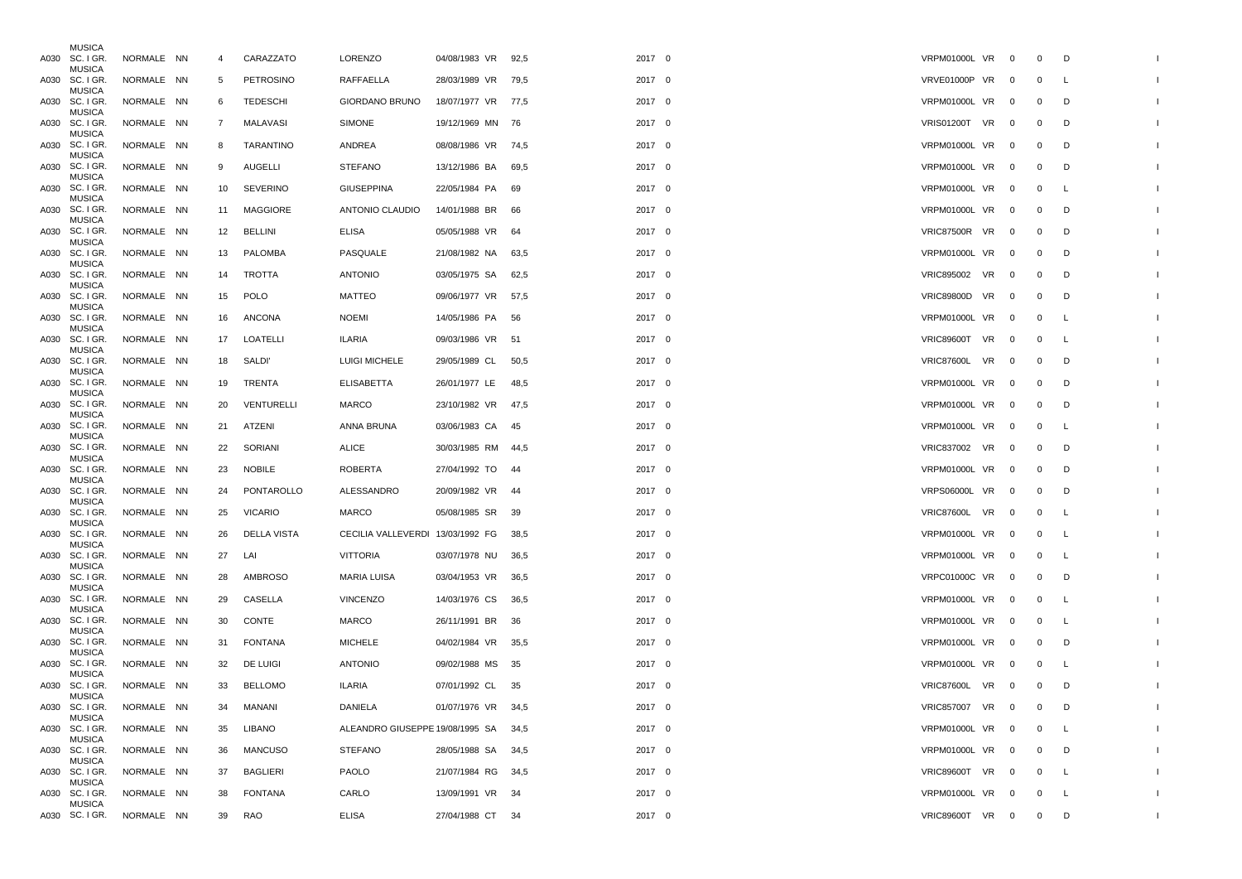| <b>MUSICA</b><br>A030 SC. I GR. | NORMALE NN | 4      | CARAZZATO          | <b>LORENZO</b>                       | 04/08/1983 VR 92,5 |      | 2017 0 | VRPM01000L VR 0        |                          | $\mathbf 0$    | D        |  |
|---------------------------------|------------|--------|--------------------|--------------------------------------|--------------------|------|--------|------------------------|--------------------------|----------------|----------|--|
| <b>MUSICA</b><br>A030 SC. I GR. | NORMALE NN | 5      | PETROSINO          | RAFFAELLA                            | 28/03/1989 VR 79,5 |      | 2017 0 | <b>VRVE01000P VR</b>   | $\overline{\phantom{0}}$ | $\mathbf{0}$   | L        |  |
| <b>MUSICA</b><br>A030 SC. I GR. | NORMALE NN | 6      | TEDESCHI           | <b>GIORDANO BRUNO</b>                | 18/07/1977 VR 77,5 |      | 2017 0 | <b>VRPM01000L VR</b>   | $\overline{\mathbf{0}}$  | $\mathbf 0$    | D        |  |
| <b>MUSICA</b><br>A030 SC. I GR. | NORMALE NN | 7      | MALAVASI           | <b>SIMONE</b>                        | 19/12/1969 MN 76   |      | 2017 0 | <b>VRIS01200T VR</b>   | $\overline{\mathbf{0}}$  | $\mathbf 0$    | D        |  |
| <b>MUSICA</b><br>A030 SC. I GR. | NORMALE NN | 8      | TARANTINO          | ANDREA                               | 08/08/1986 VR 74,5 |      | 2017 0 | VRPM01000L VR          | $\overline{\phantom{0}}$ | $\mathbf 0$    | D        |  |
| <b>MUSICA</b><br>A030 SC. I GR. | NORMALE NN | 9      | <b>AUGELLI</b>     | <b>STEFANO</b>                       | 13/12/1986 BA      | 69,5 | 2017 0 | VRPM01000L VR 0        |                          | $\mathbf 0$    | D        |  |
| <b>MUSICA</b><br>A030 SC. I GR. | NORMALE NN | 10     | <b>SEVERINO</b>    | <b>GIUSEPPINA</b>                    | 22/05/1984 PA      | 69   | 2017 0 | VRPM01000L VR 0        |                          | $\mathbf 0$    | L        |  |
| <b>MUSICA</b><br>A030 SC. I GR. | NORMALE NN | 11     | <b>MAGGIORE</b>    | ANTONIO CLAUDIO                      | 14/01/1988 BR 66   |      | 2017 0 | VRPM01000L VR 0        |                          | $\mathbf 0$    | D        |  |
| <b>MUSICA</b><br>A030 SC. I GR. | NORMALE NN | 12     | BELLINI            | ELISA                                | 05/05/1988 VR      | 64   | 2017 0 | VRIC87500R VR          | $\mathbf 0$              | $\mathbf 0$    | D        |  |
| <b>MUSICA</b><br>A030 SC. I GR. | NORMALE NN | 13     | PALOMBA            | PASQUALE                             | 21/08/1982 NA      | 63,5 | 2017 0 | VRPM01000L VR          | $\overline{\phantom{0}}$ | $\mathbf{0}$   | D        |  |
| <b>MUSICA</b><br>A030 SC. I GR. | NORMALE NN | 14     | TROTTA             | <b>ANTONIO</b>                       | 03/05/1975 SA      | 62,5 | 2017 0 | VRIC895002 VR          | $\overline{\mathbf{0}}$  | $\mathbf 0$    | D        |  |
| <b>MUSICA</b><br>A030 SC. I GR. | NORMALE NN | 15     | <b>POLO</b>        | MATTEO                               | 09/06/1977 VR 57,5 |      | 2017 0 | <b>VRIC89800D VR</b>   | $\mathbf{0}$             | $\mathbf 0$    | D        |  |
| <b>MUSICA</b><br>A030 SC. I GR. | NORMALE NN | 16     | ANCONA             | <b>NOEMI</b>                         | 14/05/1986 PA      | - 56 | 2017 0 | VRPM01000L VR          | $\overline{\phantom{0}}$ | $\mathbf 0$    | L        |  |
| <b>MUSICA</b><br>A030 SC. I GR. | NORMALE NN | 17     | LOATELLI           | ILARIA                               | 09/03/1986 VR 51   |      | 2017 0 | VRIC89600T VR          | $\overline{\mathbf{0}}$  | $\mathbf 0$    | <b>L</b> |  |
| <b>MUSICA</b><br>A030 SC. I GR. | NORMALE NN |        | 18 SALDI'          | <b>LUIGI MICHELE</b>                 | 29/05/1989 CL      | 50,5 | 2017 0 | VRIC87600L VR 0        |                          | $\mathbf{0}$   | D        |  |
| <b>MUSICA</b><br>A030 SC. I GR. | NORMALE NN | 19     | TRENTA             | <b>ELISABETTA</b>                    | 26/01/1977 LE      | 48,5 | 2017 0 | VRPM01000L VR 0        |                          | $\mathbf 0$    | D        |  |
| <b>MUSICA</b><br>A030 SC. I GR. | NORMALE NN | 20     | VENTURELLI         | MARCO                                | 23/10/1982 VR 47.5 |      | 2017 0 | VRPM01000L VR 0        |                          | $\mathbf{0}$   | D        |  |
| <b>MUSICA</b><br>A030 SC. I GR. | NORMALE NN | 21     | ATZENI             | ANNA BRUNA                           | 03/06/1983 CA      | - 45 | 2017 0 | VRPM01000L VR          | $\mathbf 0$              | $\mathbf 0$    | <b>L</b> |  |
| <b>MUSICA</b><br>A030 SC. I GR. | NORMALE NN | 22     | SORIANI            | ALICE                                | 30/03/1985 RM 44,5 |      | 2017 0 | VRIC837002 VR 0        |                          | $\mathbf 0$    | D        |  |
| <b>MUSICA</b><br>A030 SC. I GR. | NORMALE NN | 23     | NOBILE             | <b>ROBERTA</b>                       | 27/04/1992 TO      | - 44 | 2017 0 | VRPM01000L VR 0        |                          | $\mathbf 0$    | D        |  |
| <b>MUSICA</b><br>A030 SC. I GR. | NORMALE NN | 24     | PONTAROLLO         | ALESSANDRO                           | 20/09/1982 VR 44   |      | 2017 0 | VRPS06000L VR          | $\overline{\phantom{0}}$ | $\mathbf 0$    | D        |  |
| <b>MUSICA</b><br>A030 SC. I GR. | NORMALE NN | 25     | <b>VICARIO</b>     | MARCO                                | 05/08/1985 SR 39   |      | 2017 0 | VRIC87600L VR 0        |                          | $\mathbf 0$    | L        |  |
| <b>MUSICA</b><br>A030 SC. I GR. | NORMALE NN | 26     | <b>DELLA VISTA</b> | CECILIA VALLEVERDI 13/03/1992 FG     |                    | 38,5 | 2017 0 | VRPM01000L VR          | $\overline{\phantom{0}}$ | $\mathbf 0$    | L        |  |
| <b>MUSICA</b><br>A030 SC. I GR. | NORMALE NN | 27 LAI |                    | VITTORIA                             | 03/07/1978 NU 36,5 |      | 2017 0 | VRPM01000L VR 0        |                          | $\mathbf{0}$   | L        |  |
| <b>MUSICA</b><br>A030 SC. I GR. | NORMALE NN | 28     | AMBROSO            | MARIA LUISA                          | 03/04/1953 VR      | 36,5 | 2017 0 | VRPC01000C VR 0        |                          | $\mathbf 0$    | D        |  |
| <b>MUSICA</b><br>A030 SC. I GR. | NORMALE NN | 29     | CASELLA            | <b>VINCENZO</b>                      | 14/03/1976 CS      | 36,5 | 2017 0 | VRPM01000L VR 0        |                          | $\overline{0}$ | <b>L</b> |  |
| <b>MUSICA</b><br>A030 SC. I GR. | NORMALE NN | 30     | CONTE              | MARCO                                | 26/11/1991 BR      | -36  | 2017 0 | VRPM01000L VR          | $\mathbf{0}$             | $\mathbf 0$    | <b>L</b> |  |
| <b>MUSICA</b><br>A030 SC. I GR. | NORMALE NN | 31     | <b>FONTANA</b>     | <b>MICHELE</b>                       | 04/02/1984 VR      | 35,5 | 2017 0 | VRPM01000L VR 0        |                          | $\mathbf 0$    | D        |  |
| <b>MUSICA</b><br>A030 SC. I GR. | NORMALE NN | 32     | DE LUIGI           | <b>ANTONIO</b>                       | 09/02/1988 MS      | 35   | 2017 0 | VRPM01000L VR 0        |                          | $\mathbf 0$    | -L       |  |
| <b>MUSICA</b><br>A030 SC. I GR. | NORMALE NN | 33     | <b>BELLOMO</b>     | <b>ILARIA</b>                        | 07/01/1992 CL 35   |      | 2017 0 | VRIC87600L VR 0        |                          | $\mathbf 0$    | D        |  |
| <b>MUSICA</b><br>A030 SC. I GR. | NORMALE NN | 34     | MANANI             | DANIELA                              | 01/07/1976 VR 34,5 |      | 2017 0 | VRIC857007 VR 0        |                          | $\overline{0}$ | D        |  |
| <b>MUSICA</b><br>A030 SC. I GR. | NORMALE NN | 35     | LIBANO             | ALEANDRO GIUSEPPE 19/08/1995 SA 34,5 |                    |      | 2017 0 | VRPM01000L VR 0        |                          | $\mathbf 0$    | - L      |  |
| <b>MUSICA</b><br>A030 SC. I GR. | NORMALE NN | 36     | MANCUSO            | <b>STEFANO</b>                       | 28/05/1988 SA 34,5 |      | 2017 0 | VRPM01000L VR 0        |                          | $\mathbf{0}$   | D        |  |
| <b>MUSICA</b><br>A030 SC. I GR. | NORMALE NN | 37     | <b>BAGLIERI</b>    | PAOLO                                | 21/07/1984 RG 34,5 |      | 2017 0 | VRIC89600T VR 0        |                          | $\mathbf{0}$   | L.       |  |
| <b>MUSICA</b><br>A030 SC. I GR. | NORMALE NN | 38     | <b>FONTANA</b>     | CARLO                                | 13/09/1991 VR 34   |      | 2017 0 | VRPM01000L VR 0        |                          | $\mathbf{0}$   | <b>L</b> |  |
| <b>MUSICA</b><br>A030 SC. I GR. | NORMALE NN | 39     | RAO                | <b>ELISA</b>                         | 27/04/1988 CT 34   |      | 2017 0 | <b>VRIC89600T VR 0</b> |                          | $\mathbf{0}$   | D        |  |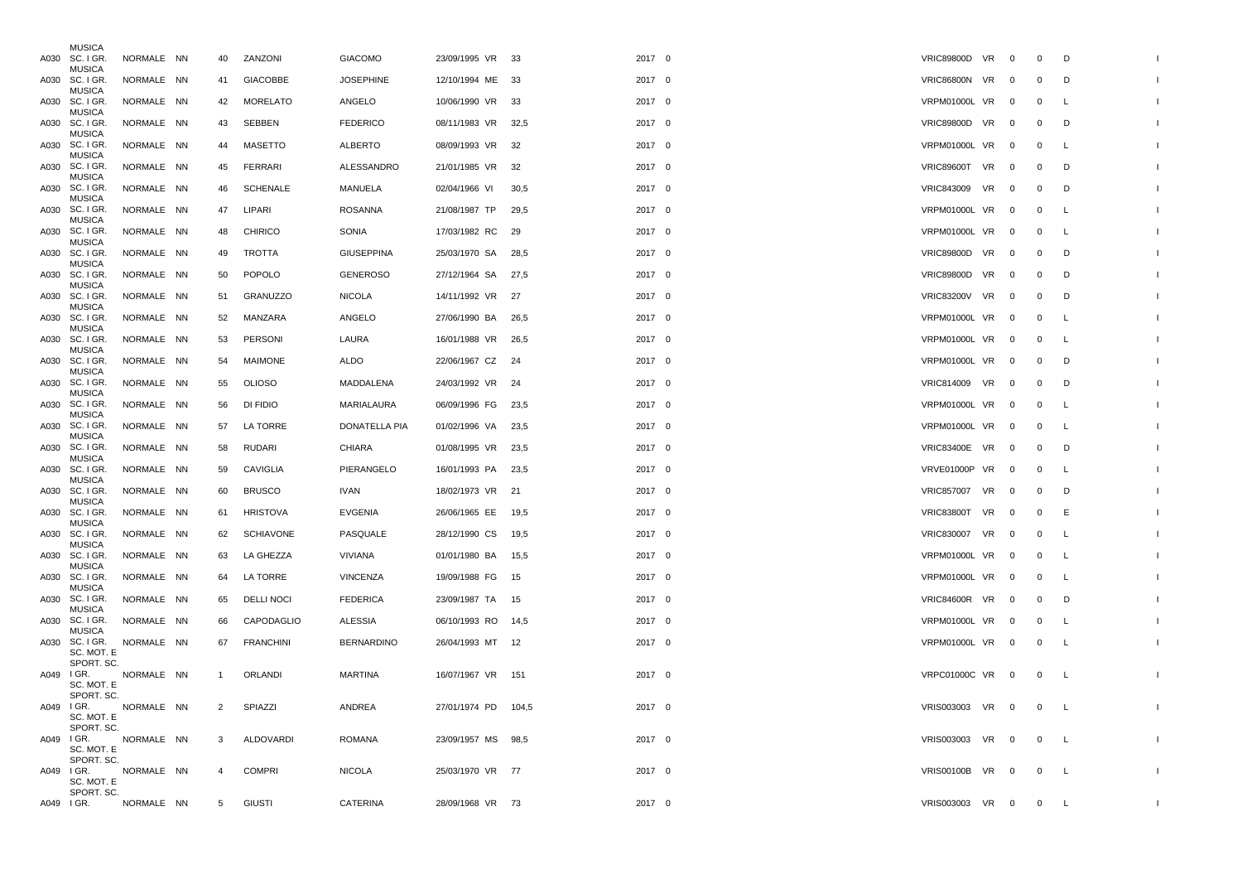|            | <b>MUSICA</b><br>A030 SC. I GR.                  | NORMALE NN | 40           | ZANZONI           | <b>GIACOMO</b>    | 23/09/1995 VR 33    |      | 2017 0 | VRIC89800D VR 0      |                          | $\mathbf 0$    | D        |                          |
|------------|--------------------------------------------------|------------|--------------|-------------------|-------------------|---------------------|------|--------|----------------------|--------------------------|----------------|----------|--------------------------|
|            | <b>MUSICA</b><br>A030 SC. I GR.                  | NORMALE NN | 41           | GIACOBBE          | <b>JOSEPHINE</b>  | 12/10/1994 ME 33    |      | 2017 0 | VRIC86800N VR        | $\overline{\phantom{0}}$ | $\mathbf 0$    | D        |                          |
|            | <b>MUSICA</b><br>A030 SC. I GR.                  | NORMALE NN | 42           | MORELATO          | ANGELO            | 10/06/1990 VR 33    |      | 2017 0 | VRPM01000L VR 0      |                          | $\mathbf 0$    | L        |                          |
|            | <b>MUSICA</b><br>A030 SC. I GR.                  | NORMALE NN | 43           | SEBBEN            | <b>FEDERICO</b>   | 08/11/1983 VR 32,5  |      | 2017 0 | <b>VRIC89800D VR</b> | $\overline{\phantom{0}}$ | $\mathbf 0$    | D        |                          |
|            | <b>MUSICA</b><br>A030 SC. I GR.                  | NORMALE NN | 44           | MASETTO           | ALBERTO           | 08/09/1993 VR 32    |      | 2017 0 | VRPM01000L VR        | $\overline{\phantom{0}}$ | $\mathbf 0$    | L        |                          |
|            | <b>MUSICA</b><br>A030 SC. I GR.                  | NORMALE NN | 45           | FERRARI           | ALESSANDRO        | 21/01/1985 VR 32    |      | 2017 0 | VRIC89600T VR 0      |                          | $\overline{0}$ | D        |                          |
|            | <b>MUSICA</b><br>A030 SC. I GR.                  | NORMALE NN | 46           | SCHENALE          | MANUELA           | 02/04/1966 VI       | 30,5 | 2017 0 | VRIC843009 VR        | $\overline{\phantom{0}}$ | $\mathbf 0$    | D        |                          |
|            | <b>MUSICA</b><br>A030 SC. I GR.                  | NORMALE NN | 47           | LIPARI            | <b>ROSANNA</b>    | 21/08/1987 TP       | 29,5 | 2017 0 | VRPM01000L VR 0      |                          | $\mathbf{0}$   | <b>L</b> |                          |
|            | <b>MUSICA</b><br>A030 SC. I GR.                  | NORMALE NN | 48           | <b>CHIRICO</b>    | SONIA             | 17/03/1982 RC       | - 29 | 2017 0 | VRPM01000L VR        | $\overline{0}$           | $\mathbf{0}$   | L        |                          |
|            | <b>MUSICA</b><br>A030 SC. I GR.                  | NORMALE NN | 49           | TROTTA            | <b>GIUSEPPINA</b> | 25/03/1970 SA 28,5  |      | 2017 0 | <b>VRIC89800D VR</b> | $\overline{\phantom{0}}$ | $\mathbf{0}$   | D        |                          |
|            | <b>MUSICA</b><br>A030 SC. I GR.                  | NORMALE NN | 50           | POPOLO            | <b>GENEROSO</b>   | 27/12/1964 SA 27,5  |      | 2017 0 | <b>VRIC89800D VR</b> | $\overline{\phantom{0}}$ | $\mathbf 0$    | D        |                          |
|            | <b>MUSICA</b><br>A030 SC. I GR.                  | NORMALE NN | 51           | GRANUZZO          | <b>NICOLA</b>     | 14/11/1992 VR 27    |      | 2017 0 | <b>VRIC83200V VR</b> | $\overline{\phantom{0}}$ | $\mathbf 0$    | D        |                          |
|            | <b>MUSICA</b><br>A030 SC. I GR.                  | NORMALE NN | 52           | MANZARA           | ANGELO            | 27/06/1990 BA       | 26,5 | 2017 0 | VRPM01000L VR 0      |                          | $\mathbf 0$    | L        |                          |
|            | <b>MUSICA</b><br>A030 SC. I GR.                  | NORMALE NN | 53           | PERSONI           | LAURA             | 16/01/1988 VR 26,5  |      | 2017 0 | VRPM01000L VR        | $\overline{\phantom{0}}$ | $\mathbf 0$    | L        |                          |
|            | <b>MUSICA</b><br>A030 SC. I GR.                  | NORMALE NN | 54           | MAIMONE           | <b>ALDO</b>       | 22/06/1967 CZ 24    |      | 2017 0 | VRPM01000L VR 0      |                          | $\overline{0}$ | D        |                          |
|            | <b>MUSICA</b><br>A030 SC. I GR.                  | NORMALE NN | 55           | <b>OLIOSO</b>     | MADDALENA         | 24/03/1992 VR 24    |      | 2017 0 | VRIC814009 VR 0      |                          | $\overline{0}$ | D        |                          |
|            | <b>MUSICA</b><br>A030 SC. I GR.                  | NORMALE NN | 56           | DI FIDIO          | MARIALAURA        | 06/09/1996 FG 23,5  |      | 2017 0 | VRPM01000L VR 0      |                          | $\overline{0}$ | L        |                          |
|            | <b>MUSICA</b><br>A030 SC. I GR.                  | NORMALE NN | 57           | LA TORRE          | DONATELLA PIA     | 01/02/1996 VA       | 23,5 | 2017 0 | VRPM01000L VR        | $\overline{\phantom{0}}$ | $\mathbf{0}$   | L        |                          |
|            | <b>MUSICA</b><br>A030 SC. I GR.                  | NORMALE NN | 58           | RUDARI            | CHIARA            | 01/08/1995 VR 23,5  |      | 2017 0 | VRIC83400E VR 0      |                          | $\overline{0}$ | D        |                          |
|            | <b>MUSICA</b><br>A030 SC. I GR.<br><b>MUSICA</b> | NORMALE NN | 59           | CAVIGLIA          | PIERANGELO        | 16/01/1993 PA       | 23,5 | 2017 0 | VRVE01000P VR 0      |                          | $\mathbf{0}$   | L        |                          |
|            | A030 SC. I GR.<br><b>MUSICA</b>                  | NORMALE NN | 60           | <b>BRUSCO</b>     | <b>IVAN</b>       | 18/02/1973 VR 21    |      | 2017 0 | VRIC857007 VR        | $\overline{\phantom{0}}$ | $\mathbf 0$    | D        |                          |
|            | A030 SC. I GR.<br><b>MUSICA</b>                  | NORMALE NN | 61           | <b>HRISTOVA</b>   | EVGENIA           | 26/06/1965 EE 19,5  |      | 2017 0 | VRIC83800T VR 0      |                          | $\mathbf{0}$   | E        |                          |
|            | A030 SC. I GR.<br><b>MUSICA</b>                  | NORMALE NN | 62           | <b>SCHIAVONE</b>  | PASQUALE          | 28/12/1990 CS       | 19,5 | 2017 0 | <b>VRIC830007 VR</b> | $\overline{\phantom{0}}$ | $\overline{0}$ | L        |                          |
|            | A030 SC. I GR.<br><b>MUSICA</b>                  | NORMALE NN |              | 63 LA GHEZZA      | VIVIANA           | 01/01/1980 BA 15,5  |      | 2017 0 | VRPM01000L VR 0      |                          | $\overline{0}$ | <b>L</b> |                          |
|            | A030 SC. I GR.<br><b>MUSICA</b>                  | NORMALE NN | 64           | LA TORRE          | <b>VINCENZA</b>   | 19/09/1988 FG       | - 15 | 2017 0 | VRPM01000L VR 0      |                          | $\mathbf 0$    | L        |                          |
|            | A030 SC. I GR.<br><b>MUSICA</b>                  | NORMALE NN | 65           | <b>DELLI NOCI</b> | <b>FEDERICA</b>   | 23/09/1987 TA 15    |      | 2017 0 | VRIC84600R VR 0      |                          | $\overline{0}$ | D        |                          |
| A030       | SC. I GR.<br><b>MUSICA</b>                       | NORMALE NN | 66           | CAPODAGLIO        | ALESSIA           | 06/10/1993 RO       | 14,5 | 2017 0 | VRPM01000L VR 0      |                          | $\mathbf{0}$   | <b>L</b> |                          |
|            | A030 SC. I GR.<br>SC. MOT. E                     | NORMALE NN | 67           | FRANCHINI         | <b>BERNARDINO</b> | 26/04/1993 MT 12    |      | 2017 0 | VRPM01000L VR 0      |                          | $\overline{0}$ | L,       |                          |
| A049 I GR. | SPORT. SC.                                       | NORMALE NN | $\mathbf{1}$ | ORLANDI           | MARTINA           | 16/07/1967 VR 151   |      | 2017 0 | VRPC01000C VR 0      |                          | $\mathbf{0}$   | L        |                          |
|            | SC. MOT. E<br>SPORT. SC.                         |            |              |                   |                   |                     |      |        |                      |                          |                |          |                          |
|            | A049 I GR.<br>SC. MOT. E                         | NORMALE NN | $\mathbf{2}$ | SPIAZZI           | ANDREA            | 27/01/1974 PD 104,5 |      | 2017 0 | VRIS003003 VR 0 0 L  |                          |                |          |                          |
|            | SPORT. SC.<br>A049 I GR.                         | NORMALE NN | 3            | ALDOVARDI         | <b>ROMANA</b>     | 23/09/1957 MS 98,5  |      | 2017 0 | VRIS003003 VR 0 0 L  |                          |                |          |                          |
|            | SC. MOT. E<br>SPORT. SC.                         |            |              |                   |                   |                     |      |        |                      |                          |                |          |                          |
|            | A049 I GR.<br>SC. MOT. E                         | NORMALE NN | 4            | <b>COMPRI</b>     | <b>NICOLA</b>     | 25/03/1970 VR 77    |      | 2017 0 | VRIS00100B VR 0 0 L  |                          |                |          | $\mathbf{I}$             |
|            | SPORT. SC.<br>A049 IGR.                          | NORMALE NN | $5^{\circ}$  | <b>GIUSTI</b>     | CATERINA          | 28/09/1968 VR 73    |      | 2017 0 | VRIS003003 VR 0 0 L  |                          |                |          | $\overline{\phantom{a}}$ |
|            |                                                  |            |              |                   |                   |                     |      |        |                      |                          |                |          |                          |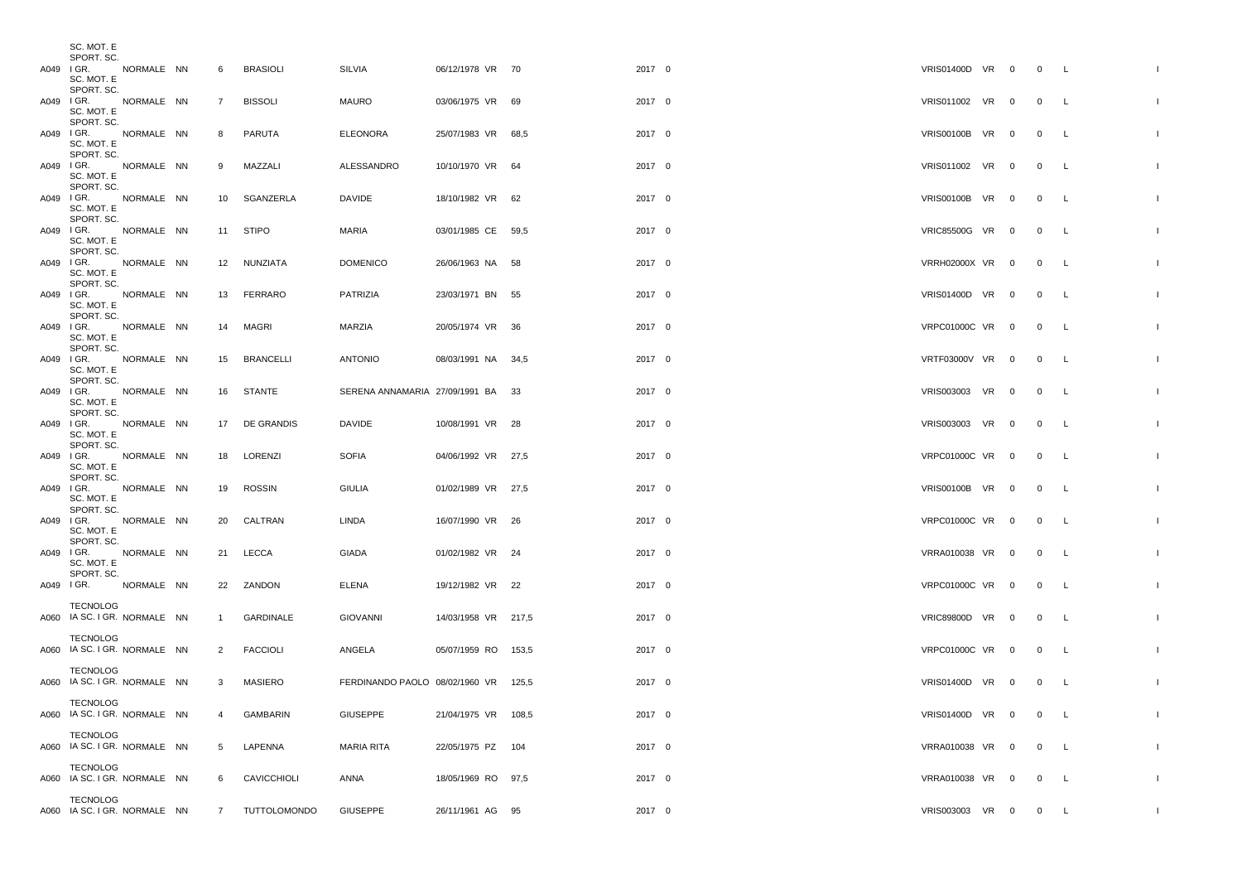|           | SC. MOT. E<br>SPORT. SC.                 |            |                |                 |                                      |                     |        |        |                     |  |                |              |              |
|-----------|------------------------------------------|------------|----------------|-----------------|--------------------------------------|---------------------|--------|--------|---------------------|--|----------------|--------------|--------------|
|           | A049 IGR. NORMALE NN                     |            | 6              | <b>BRASIOLI</b> | SILVIA                               | 06/12/1978 VR 70    | 2017 0 |        | VRIS01400D VR 0     |  | 0 L            |              |              |
|           | SC. MOT. E<br>SPORT. SC.                 |            |                |                 |                                      |                     |        |        |                     |  |                |              |              |
|           | A049 IGR. NORMALE NN<br>SC. MOT. E       |            | $\overline{7}$ | <b>BISSOLI</b>  | <b>MAURO</b>                         | 03/06/1975 VR 69    | 2017 0 |        | VRIS011002 VR 0 0 L |  |                |              |              |
|           | SPORT. SC.<br>A049 IGR. NORMALE NN       |            | 8              | PARUTA          | <b>ELEONORA</b>                      | 25/07/1983 VR 68.5  | 2017 0 |        | VRIS00100B VR 0     |  | 0 L            |              |              |
|           | SC. MOT. E<br>SPORT. SC.                 |            |                |                 |                                      |                     |        |        |                     |  |                |              |              |
|           | A049 IGR. NORMALE NN                     |            | 9              | MAZZALI         | ALESSANDRO                           | 10/10/1970 VR 64    | 2017 0 |        | VRIS011002 VR 0     |  | $\overline{0}$ | $\mathsf{L}$ |              |
|           | SC. MOT. E<br>SPORT. SC.                 |            |                |                 |                                      |                     |        |        |                     |  |                |              |              |
|           | A049 IGR. NORMALE NN<br>SC. MOT. E       |            |                | 10 SGANZERLA    | DAVIDE                               | 18/10/1982 VR 62    | 2017 0 |        | VRIS00100B VR 0     |  | $0\qquad L$    |              |              |
|           | SPORT. SC.                               |            |                |                 |                                      |                     |        |        |                     |  |                |              |              |
|           | A049 IGR. NORMALE NN<br>SC. MOT. E       |            |                | 11 STIPO        | MARIA                                | 03/01/1985 CE 59,5  | 2017 0 |        | VRIC85500G VR 0     |  | $\overline{0}$ | $\mathsf{L}$ |              |
|           | SPORT. SC.<br>A049 IGR. NORMALE NN       |            |                | 12 NUNZIATA     | <b>DOMENICO</b>                      | 26/06/1963 NA 58    |        | 2017 0 | VRRH02000X VR 0     |  | 0 L            |              |              |
|           | SC. MOT. E<br>SPORT. SC.                 |            |                |                 |                                      |                     |        |        |                     |  |                |              |              |
|           | A049 IGR. NORMALE NN                     |            |                | 13 FERRARO      | PATRIZIA                             | 23/03/1971 BN 55    | 2017 0 |        | VRIS01400D VR 0     |  | 0 L            |              |              |
|           | SC. MOT. E<br>SPORT. SC.                 |            |                |                 |                                      |                     |        |        |                     |  |                |              |              |
|           | A049 IGR. NORMALE NN<br>SC. MOT. E       |            |                | 14 MAGRI        | MARZIA                               | 20/05/1974 VR 36    | 2017 0 |        | VRPC01000C VR 0     |  | $0\qquad L$    |              |              |
|           | SPORT. SC.                               |            |                |                 |                                      |                     |        |        |                     |  |                |              |              |
|           | A049 IGR. NORMALE NN<br>SC. MOT. E       |            |                | 15 BRANCELLI    | <b>ANTONIO</b>                       | 08/03/1991 NA 34,5  | 2017 0 |        | VRTF03000V VR 0     |  | 0 L            |              |              |
|           | SPORT. SC.<br>A049 IGR. NORMALE NN       |            |                | 16 STANTE       | SERENA ANNAMARIA 27/09/1991 BA 33    |                     | 2017 0 |        | VRIS003003 VR 0     |  | $\overline{0}$ | - L          |              |
|           | SC. MOT. E<br>SPORT. SC.                 |            |                |                 |                                      |                     |        |        |                     |  |                |              |              |
|           | A049 IGR. NORMALE NN                     |            |                | 17 DE GRANDIS   | DAVIDE                               | 10/08/1991 VR 28    | 2017 0 |        | VRIS003003 VR 0     |  | 0 L            |              |              |
|           | SC. MOT. E<br>SPORT. SC.                 |            |                |                 |                                      |                     |        |        |                     |  |                |              |              |
|           | A049 IGR. NORMALE NN<br>SC. MOT. E       |            |                | 18 LORENZI      | <b>SOFIA</b>                         | 04/06/1992 VR 27,5  | 2017 0 |        | VRPC01000C VR 0     |  | $0\qquad L$    |              |              |
|           | SPORT. SC.<br>A049 IGR. NORMALE NN       |            |                | 19 ROSSIN       | <b>GIULIA</b>                        | 01/02/1989 VR 27,5  | 2017 0 |        | VRIS00100B VR 0     |  | $\overline{0}$ | $\mathsf{L}$ |              |
|           | SC. MOT. E                               |            |                |                 |                                      |                     |        |        |                     |  |                |              |              |
|           | SPORT. SC.<br>A049 IGR. NORMALE NN       |            |                | 20 CALTRAN      | LINDA                                | 16/07/1990 VR 26    | 2017 0 |        | VRPC01000C VR 0     |  | $\overline{0}$ | $\mathsf{L}$ |              |
|           | SC. MOT. E<br>SPORT. SC.                 |            |                |                 |                                      |                     |        |        |                     |  |                |              |              |
|           | A049 I GR.<br>SC. MOT. E                 | NORMALE NN |                | 21 LECCA        | GIADA                                | 01/02/1982 VR 24    | 2017 0 |        | VRRA010038 VR 0 0 L |  |                |              |              |
|           | SPORT. SC.                               |            |                |                 |                                      |                     |        |        |                     |  |                |              |              |
| A049 IGR. |                                          | NORMALE NN |                | 22 ZANDON       | ELENA                                | 19/12/1982 VR 22    | 2017 0 |        | VRPC01000C VR 0     |  | $\overline{0}$ | $\mathsf{L}$ |              |
|           | TECNOLOG<br>A060 IA SC. I GR. NORMALE NN |            | $\mathbf{1}$   | GARDINALE       | <b>GIOVANNI</b>                      | 14/03/1958 VR 217,5 | 2017 0 |        | VRIC89800D VR 0     |  | 0 L            |              |              |
|           | TECNOLOG                                 |            |                |                 |                                      |                     |        |        |                     |  |                |              |              |
|           | A060 IA SC. I GR. NORMALE NN             |            | 2              | <b>FACCIOLI</b> | ANGELA                               | 05/07/1959 RO 153,5 | 2017 0 |        | VRPC01000C VR 0     |  | $0\qquad L$    |              |              |
|           | <b>TECNOLOG</b>                          |            |                |                 |                                      |                     |        |        |                     |  |                |              |              |
|           | A060 IA SC. I GR. NORMALE NN             |            | 3              | MASIERO         | FERDINANDO PAOLO 08/02/1960 VR 125,5 |                     | 2017 0 |        | VRIS01400D VR 0     |  | 0 L            |              |              |
|           | <b>TECNOLOG</b>                          |            |                |                 | <b>GIUSEPPE</b>                      |                     |        |        |                     |  |                |              |              |
|           | A060 IA SC. I GR. NORMALE NN             |            | 4              | GAMBARIN        |                                      | 21/04/1975 VR 108,5 |        | 2017 0 | VRIS01400D VR 0     |  | $\overline{0}$ | $\mathsf{L}$ | -1           |
|           | TECNOLOG<br>A060 IA SC. I GR. NORMALE NN |            | 5              | LAPENNA         | MARIA RITA                           | 22/05/1975 PZ 104   | 2017 0 |        | VRRA010038 VR 0     |  | 0 L            |              |              |
|           | <b>TECNOLOG</b>                          |            |                |                 |                                      |                     |        |        |                     |  |                |              |              |
|           | A060 IA SC. I GR. NORMALE NN             |            | 6              | CAVICCHIOLI     | ANNA                                 | 18/05/1969 RO 97,5  | 2017 0 |        | VRRA010038 VR 0     |  | $\overline{0}$ | $\mathsf{L}$ | $\mathbf{I}$ |
|           | TECNOLOG                                 |            |                |                 |                                      |                     |        |        |                     |  |                |              |              |
|           | A060 IA SC. I GR. NORMALE NN             |            | 7 <sup>7</sup> | TUTTOLOMONDO    | <b>GIUSEPPE</b>                      | 26/11/1961 AG 95    | 2017 0 |        | VRIS003003 VR 0 0 L |  |                |              | л.           |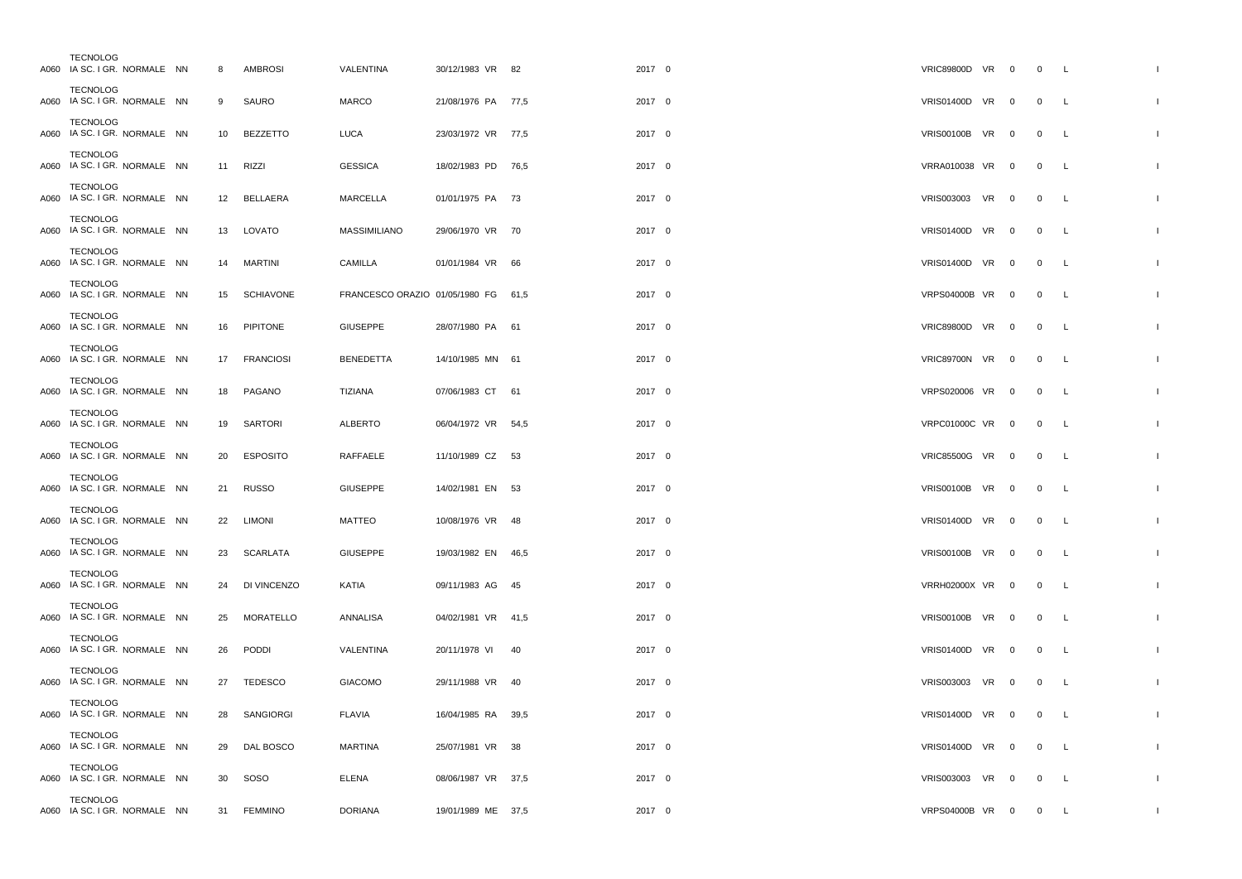| <b>TECNOLOG</b><br>A060 IA SC. I GR. NORMALE NN |  | 8  | <b>AMBROSI</b>   | <b>VALENTINA</b>                    | 30/12/1983 VR 82   |    | 2017 0 | VRIC89800D VR 0      |                          | $0\quad L$     |              |                |
|-------------------------------------------------|--|----|------------------|-------------------------------------|--------------------|----|--------|----------------------|--------------------------|----------------|--------------|----------------|
| <b>TECNOLOG</b><br>A060 IA SC. I GR. NORMALE NN |  | 9  | SAURO            | <b>MARCO</b>                        | 21/08/1976 PA 77,5 |    | 2017 0 | VRIS01400D VR 0      |                          | $\overline{0}$ | <b>L</b>     |                |
| <b>TECNOLOG</b><br>A060 IA SC. I GR. NORMALE NN |  | 10 | <b>BEZZETTO</b>  | LUCA                                | 23/03/1972 VR 77,5 |    | 2017 0 | <b>VRIS00100B VR</b> | $\overline{\mathbf{0}}$  | $\overline{0}$ | L            |                |
| <b>TECNOLOG</b><br>A060 IA SC. I GR. NORMALE NN |  | 11 | RIZZI            | <b>GESSICA</b>                      | 18/02/1983 PD 76,5 |    | 2017 0 | VRRA010038 VR        | $\overline{\mathbf{0}}$  | $\overline{0}$ | L.           |                |
| <b>TECNOLOG</b><br>A060 IA SC. I GR. NORMALE NN |  | 12 | BELLAERA         | MARCELLA                            | 01/01/1975 PA 73   |    | 2017 0 | VRIS003003 VR        | $\overline{0}$           | $\overline{0}$ | <b>L</b>     |                |
| <b>TECNOLOG</b><br>A060 IA SC. I GR. NORMALE NN |  | 13 | LOVATO           | <b>MASSIMILIANO</b>                 | 29/06/1970 VR 70   |    | 2017 0 | <b>VRIS01400D VR</b> | $\overline{\phantom{0}}$ | $\overline{0}$ | <b>L</b>     |                |
| <b>TECNOLOG</b><br>A060 IA SC. I GR. NORMALE NN |  | 14 | <b>MARTINI</b>   | CAMILLA                             | 01/01/1984 VR 66   |    | 2017 0 | <b>VRIS01400D VR</b> | $\overline{0}$           | $\overline{0}$ | L            |                |
| <b>TECNOLOG</b><br>A060 IA SC. I GR. NORMALE NN |  | 15 | <b>SCHIAVONE</b> | FRANCESCO ORAZIO 01/05/1980 FG 61,5 |                    |    | 2017 0 | VRPS04000B VR 0      |                          | $\overline{0}$ | $\mathsf{L}$ |                |
| <b>TECNOLOG</b><br>A060 IA SC. I GR. NORMALE NN |  | 16 | PIPITONE         | <b>GIUSEPPE</b>                     | 28/07/1980 PA 61   |    | 2017 0 | <b>VRIC89800D VR</b> | $\overline{\phantom{0}}$ | $\overline{0}$ | L            |                |
| <b>TECNOLOG</b><br>A060 IA SC. I GR. NORMALE NN |  | 17 | <b>FRANCIOSI</b> | <b>BENEDETTA</b>                    | 14/10/1985 MN 61   |    | 2017 0 | VRIC89700N VR        | $\mathbf 0$              | $\overline{0}$ | <b>L</b>     |                |
| <b>TECNOLOG</b><br>A060 IA SC. I GR. NORMALE NN |  | 18 | PAGANO           | TIZIANA                             | 07/06/1983 CT 61   |    | 2017 0 | VRPS020006 VR        | $\overline{0}$           | $\overline{0}$ | <b>L</b>     |                |
| <b>TECNOLOG</b><br>A060 IA SC. I GR. NORMALE NN |  | 19 | SARTORI          | <b>ALBERTO</b>                      | 06/04/1972 VR 54,5 |    | 2017 0 | <b>VRPC01000C VR</b> | $\overline{0}$           | $\mathbf 0$    | L            |                |
| <b>TECNOLOG</b><br>A060 IA SC. I GR. NORMALE NN |  | 20 | <b>ESPOSITO</b>  | RAFFAELE                            | 11/10/1989 CZ 53   |    | 2017 0 | VRIC85500G VR 0      |                          | $\overline{0}$ | <b>L</b>     |                |
| <b>TECNOLOG</b><br>A060 IA SC. I GR. NORMALE NN |  | 21 | <b>RUSSO</b>     | <b>GIUSEPPE</b>                     | 14/02/1981 EN 53   |    | 2017 0 | VRIS00100B VR 0      |                          | $\overline{0}$ | <b>L</b>     |                |
| <b>TECNOLOG</b><br>A060 IA SC. I GR. NORMALE NN |  | 22 | <b>LIMONI</b>    | MATTEO                              | 10/08/1976 VR 48   |    | 2017 0 | VRIS01400D VR 0      |                          | $\overline{0}$ | <b>L</b>     |                |
| <b>TECNOLOG</b><br>A060 IA SC. I GR. NORMALE NN |  | 23 | SCARLATA         | <b>GIUSEPPE</b>                     | 19/03/1982 EN 46,5 |    | 2017 0 | VRIS00100B VR 0      |                          | $\overline{0}$ | <b>L</b>     |                |
| <b>TECNOLOG</b><br>A060 IA SC. I GR. NORMALE NN |  | 24 | DI VINCENZO      | KATIA                               | 09/11/1983 AG 45   |    | 2017 0 | <b>VRRH02000X VR</b> | $\mathbf 0$              | $\overline{0}$ | L            |                |
| <b>TECNOLOG</b><br>A060 IA SC. I GR. NORMALE NN |  | 25 | MORATELLO        | ANNALISA                            | 04/02/1981 VR 41,5 |    | 2017 0 | <b>VRIS00100B VR</b> | $\overline{\phantom{0}}$ | $\overline{0}$ | <b>L</b>     |                |
| <b>TECNOLOG</b><br>A060 IA SC. I GR. NORMALE NN |  | 26 | PODDI            | VALENTINA                           | 20/11/1978 VI      | 40 | 2017 0 | <b>VRIS01400D VR</b> | $\overline{0}$           | $\mathbf 0$    | L            |                |
| <b>TECNOLOG</b><br>A060 IA SC. I GR. NORMALE NN |  | 27 | <b>TEDESCO</b>   | <b>GIACOMO</b>                      | 29/11/1988 VR 40   |    | 2017 0 | VRIS003003 VR 0      |                          | $\overline{0}$ | <b>L</b>     |                |
| <b>TECNOLOG</b><br>A060 IA SC. I GR. NORMALE NN |  |    | 28 SANGIORGI     | <b>FLAVIA</b>                       | 16/04/1985 RA 39,5 |    | 2017 0 | VRIS01400D VR 0      |                          | $\overline{0}$ | L.           |                |
| <b>TECNOLOG</b><br>A060 IA SC. I GR. NORMALE NN |  | 29 | DAL BOSCO        | <b>MARTINA</b>                      | 25/07/1981 VR 38   |    | 2017 0 | VRIS01400D VR 0      |                          | $\overline{0}$ | <b>L</b>     |                |
| <b>TECNOLOG</b><br>A060 IA SC. I GR. NORMALE NN |  | 30 | SOSO             | <b>ELENA</b>                        | 08/06/1987 VR 37,5 |    | 2017 0 | VRIS003003 VR        | $\mathbf{0}$             | $\overline{0}$ | $\mathsf{L}$ | $\overline{1}$ |
| <b>TECNOLOG</b><br>A060 IA SC. I GR. NORMALE NN |  |    | 31 FEMMINO       | <b>DORIANA</b>                      | 19/01/1989 ME 37,5 |    | 2017 0 | VRPS04000B VR 0      |                          | $\overline{0}$ | L            | $\overline{1}$ |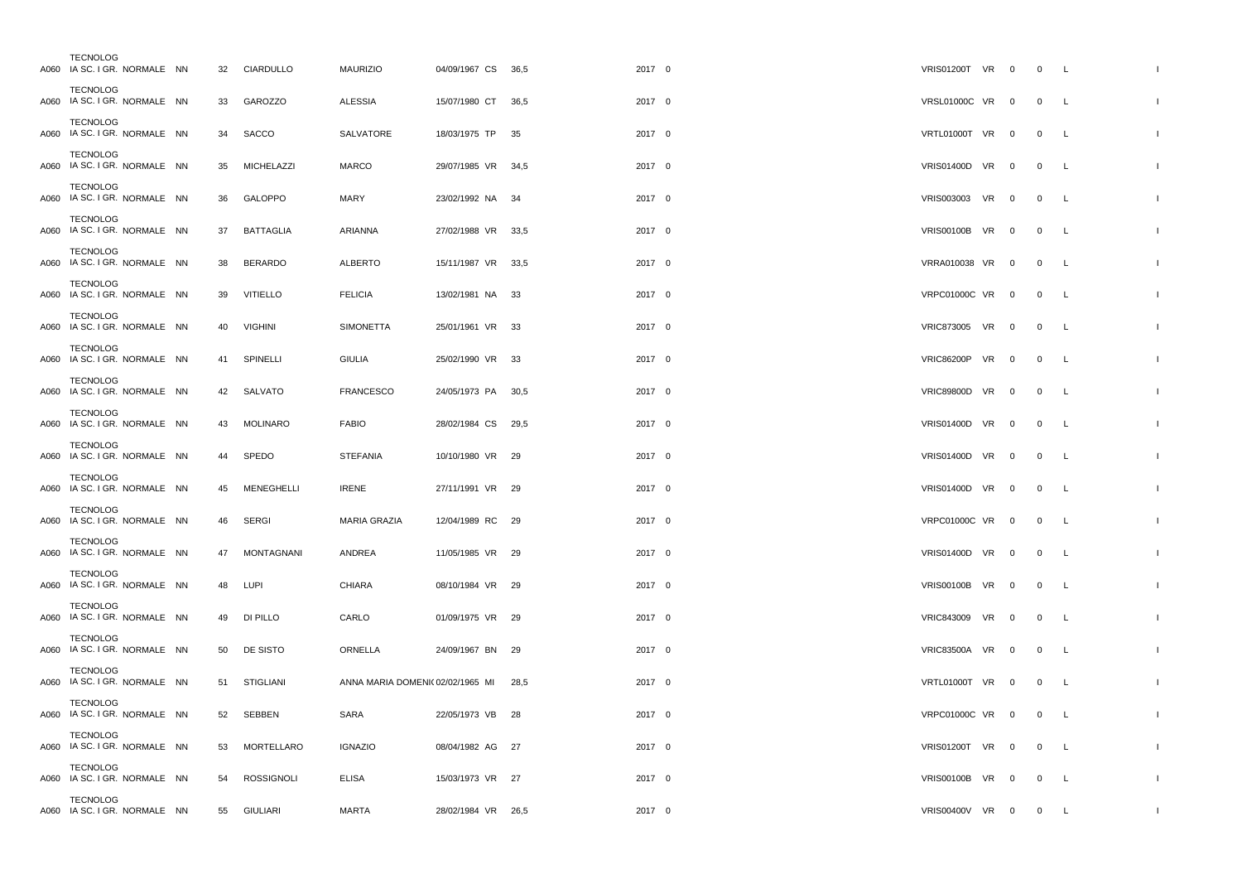| <b>TECNOLOG</b><br>A060 IA SC. I GR. NORMALE NN |  |    | 32 CIARDULLO      | <b>MAURIZIO</b>                 | 04/09/1967 CS 36,5 |      | 2017 0 |        | VRIS01200T VR 0      |                         | $0\qquad L$    |              |  |
|-------------------------------------------------|--|----|-------------------|---------------------------------|--------------------|------|--------|--------|----------------------|-------------------------|----------------|--------------|--|
| <b>TECNOLOG</b><br>A060 IA SC. I GR. NORMALE NN |  | 33 | GAROZZO           | <b>ALESSIA</b>                  | 15/07/1980 CT 36,5 |      | 2017 0 |        | VRSL01000C VR 0      |                         | $\overline{0}$ | L.           |  |
| <b>TECNOLOG</b><br>A060 IA SC. I GR. NORMALE NN |  | 34 | SACCO             | SALVATORE                       | 18/03/1975 TP      | 35   | 2017 0 |        | VRTL01000T VR 0      |                         | $\overline{0}$ | $\mathsf{L}$ |  |
| <b>TECNOLOG</b><br>A060 IA SC. I GR. NORMALE NN |  | 35 | <b>MICHELAZZI</b> | <b>MARCO</b>                    | 29/07/1985 VR 34,5 |      | 2017 0 |        | VRIS01400D VR 0      |                         | $\overline{0}$ | L            |  |
| <b>TECNOLOG</b><br>A060 IA SC. I GR. NORMALE NN |  | 36 | GALOPPO           | MARY                            | 23/02/1992 NA 34   |      | 2017 0 |        | VRIS003003 VR        | $\overline{\mathbf{0}}$ | $\overline{0}$ | L            |  |
| <b>TECNOLOG</b><br>A060 IA SC. I GR. NORMALE NN |  | 37 | <b>BATTAGLIA</b>  | ARIANNA                         | 27/02/1988 VR 33,5 |      | 2017 0 |        | VRIS00100B VR 0      |                         | $\overline{0}$ | L.           |  |
| <b>TECNOLOG</b><br>A060 IA SC. I GR. NORMALE NN |  | 38 | <b>BERARDO</b>    | <b>ALBERTO</b>                  | 15/11/1987 VR 33,5 |      | 2017 0 |        | VRRA010038 VR 0      |                         | $\overline{0}$ | L.           |  |
| <b>TECNOLOG</b><br>A060 IA SC. I GR. NORMALE NN |  | 39 | <b>VITIELLO</b>   | <b>FELICIA</b>                  | 13/02/1981 NA 33   |      | 2017 0 |        | VRPC01000C VR 0      |                         | $\overline{0}$ | $\mathsf{L}$ |  |
| <b>TECNOLOG</b><br>A060 IA SC. I GR. NORMALE NN |  | 40 | <b>VIGHINI</b>    | <b>SIMONETTA</b>                | 25/01/1961 VR 33   |      | 2017 0 |        | VRIC873005 VR 0      |                         | $\overline{0}$ | L.           |  |
| TECNOLOG<br>A060 IA SC. I GR. NORMALE NN        |  | 41 | SPINELLI          | <b>GIULIA</b>                   | 25/02/1990 VR 33   |      | 2017 0 |        | VRIC86200P VR 0      |                         | $\overline{0}$ | L            |  |
| <b>TECNOLOG</b><br>A060 IA SC. I GR. NORMALE NN |  |    | 42 SALVATO        | <b>FRANCESCO</b>                | 24/05/1973 PA 30,5 |      | 2017 0 |        | VRIC89800D VR 0      |                         | $\overline{0}$ | L            |  |
| <b>TECNOLOG</b><br>A060 IA SC. I GR. NORMALE NN |  | 43 | <b>MOLINARO</b>   | <b>FABIO</b>                    | 28/02/1984 CS      | 29,5 | 2017 0 |        | <b>VRIS01400D VR</b> | $\overline{\mathbf{0}}$ | $\mathbf 0$    | L            |  |
| <b>TECNOLOG</b><br>A060 IA SC. I GR. NORMALE NN |  | 44 | SPEDO             | <b>STEFANIA</b>                 | 10/10/1980 VR 29   |      | 2017 0 |        | VRIS01400D VR 0      |                         | $\overline{0}$ | $\mathsf{L}$ |  |
| <b>TECNOLOG</b><br>A060 IA SC. I GR. NORMALE NN |  | 45 | MENEGHELLI        | <b>IRENE</b>                    | 27/11/1991 VR 29   |      | 2017 0 |        | VRIS01400D VR 0      |                         | $\overline{0}$ | L.           |  |
| <b>TECNOLOG</b><br>A060 IA SC. I GR. NORMALE NN |  | 46 | <b>SERGI</b>      | MARIA GRAZIA                    | 12/04/1989 RC 29   |      |        | 2017 0 | VRPC01000C VR 0      |                         | $\overline{0}$ | L.           |  |
| <b>TECNOLOG</b><br>A060 IA SC. I GR. NORMALE NN |  | 47 | <b>MONTAGNANI</b> | ANDREA                          | 11/05/1985 VR 29   |      | 2017 0 |        | VRIS01400D VR 0      |                         | $\overline{0}$ | L            |  |
| <b>TECNOLOG</b><br>A060 IA SC. I GR. NORMALE NN |  | 48 | LUPI              | CHIARA                          | 08/10/1984 VR 29   |      | 2017 0 |        | <b>VRIS00100B VR</b> | $\overline{\mathbf{0}}$ | $\overline{0}$ | L            |  |
| <b>TECNOLOG</b><br>A060 IA SC. I GR. NORMALE NN |  | 49 | DI PILLO          | CARLO                           | 01/09/1975 VR 29   |      | 2017 0 |        | VRIC843009 VR        | $\overline{\mathbf{0}}$ | $\overline{0}$ | L            |  |
| <b>TECNOLOG</b><br>A060 IA SC. I GR. NORMALE NN |  | 50 | DE SISTO          | ORNELLA                         | 24/09/1967 BN 29   |      | 2017 0 |        | VRIC83500A VR 0      |                         | $\overline{0}$ | L            |  |
| <b>TECNOLOG</b><br>A060 IA SC. I GR. NORMALE NN |  | 51 | STIGLIANI         | ANNA MARIA DOMENI(02/02/1965 MI |                    | 28,5 |        | 2017 0 | VRTL01000T VR 0      |                         | $\overline{0}$ | $\mathsf{L}$ |  |
| <b>TECNOLOG</b><br>A060 IA SC. I GR. NORMALE NN |  | 52 | SEBBEN            | SARA                            | 22/05/1973 VB 28   |      | 2017 0 |        | VRPC01000C VR 0      |                         | $\overline{0}$ | $\mathsf{L}$ |  |
| <b>TECNOLOG</b><br>A060 IA SC. I GR. NORMALE NN |  | 53 | MORTELLARO        | <b>IGNAZIO</b>                  | 08/04/1982 AG 27   |      | 2017 0 |        | VRIS01200T VR 0      |                         | $\overline{0}$ | $\mathsf{L}$ |  |
| <b>TECNOLOG</b><br>A060 IA SC. I GR. NORMALE NN |  | 54 | <b>ROSSIGNOLI</b> | <b>ELISA</b>                    | 15/03/1973 VR 27   |      | 2017 0 |        | VRIS00100B VR 0      |                         | $\overline{0}$ | $\mathsf{L}$ |  |
| <b>TECNOLOG</b><br>A060 IA SC. I GR. NORMALE NN |  |    | 55 GIULIARI       | <b>MARTA</b>                    | 28/02/1984 VR 26,5 |      | 2017 0 |        | VRIS00400V VR 0      |                         | $\overline{0}$ | L.           |  |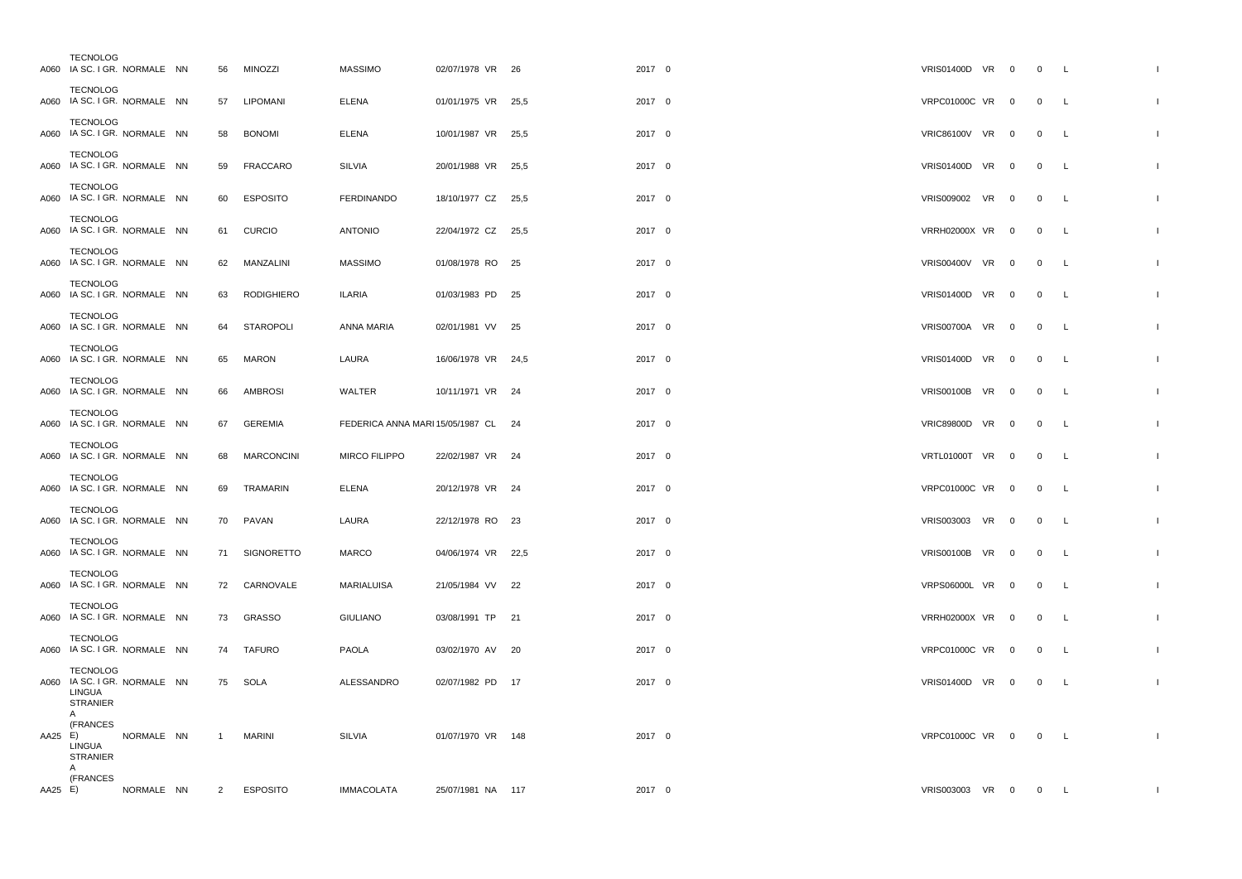|         | <b>TECNOLOG</b><br>A060 IA SC. I GR. NORMALE NN                                     |            |                | 56 MINOZZI        | <b>MASSIMO</b>                      | 02/07/1978 VR 26   |    | 2017 0 | VRIS01400D VR 0      |                         | $0\qquad L$    |              |              |
|---------|-------------------------------------------------------------------------------------|------------|----------------|-------------------|-------------------------------------|--------------------|----|--------|----------------------|-------------------------|----------------|--------------|--------------|
|         | <b>TECNOLOG</b><br>A060 IA SC. I GR. NORMALE NN                                     |            | 57             | <b>LIPOMANI</b>   | <b>ELENA</b>                        | 01/01/1975 VR 25,5 |    | 2017 0 | VRPC01000C VR 0      |                         | $\overline{0}$ | L            |              |
|         | <b>TECNOLOG</b><br>A060 IA SC. I GR. NORMALE NN                                     |            | 58             | <b>BONOMI</b>     | <b>ELENA</b>                        | 10/01/1987 VR 25,5 |    | 2017 0 | VRIC86100V VR 0      |                         | $\overline{0}$ | L.           |              |
|         | <b>TECNOLOG</b><br>A060 IA SC. I GR. NORMALE NN                                     |            | 59             | <b>FRACCARO</b>   | SILVIA                              | 20/01/1988 VR 25,5 |    | 2017 0 | VRIS01400D VR 0      |                         | $\overline{0}$ | $\mathsf{L}$ |              |
|         | <b>TECNOLOG</b><br>A060 IA SC. I GR. NORMALE NN                                     |            | 60             | <b>ESPOSITO</b>   | <b>FERDINANDO</b>                   | 18/10/1977 CZ 25,5 |    | 2017 0 | VRIS009002 VR 0      |                         | $\overline{0}$ | L.           |              |
|         | <b>TECNOLOG</b><br>A060 IA SC. I GR. NORMALE NN                                     |            | 61             | <b>CURCIO</b>     | <b>ANTONIO</b>                      | 22/04/1972 CZ 25,5 |    | 2017 0 | VRRH02000X VR 0      |                         | $\overline{0}$ | L            |              |
|         | <b>TECNOLOG</b><br>A060 IA SC. I GR. NORMALE NN                                     |            |                | 62 MANZALINI      | <b>MASSIMO</b>                      | 01/08/1978 RO 25   |    | 2017 0 | VRIS00400V VR 0      |                         | $\overline{0}$ | $\mathsf{L}$ |              |
|         | <b>TECNOLOG</b><br>A060 IA SC. I GR. NORMALE NN                                     |            | 63             | <b>RODIGHIERO</b> | <b>ILARIA</b>                       | 01/03/1983 PD      | 25 | 2017 0 | <b>VRIS01400D VR</b> | $\overline{\mathbf{0}}$ | $\overline{0}$ | L.           |              |
|         | <b>TECNOLOG</b><br>A060 IA SC. I GR. NORMALE NN                                     |            | 64             | <b>STAROPOLI</b>  | ANNA MARIA                          | 02/01/1981 VV 25   |    | 2017 0 | VRIS00700A VR 0      |                         | $\overline{0}$ | $\mathsf{L}$ |              |
|         | <b>TECNOLOG</b><br>A060 IA SC. I GR. NORMALE NN                                     |            | 65             | <b>MARON</b>      | LAURA                               | 16/06/1978 VR 24,5 |    | 2017 0 | VRIS01400D VR 0      |                         | $\overline{0}$ | L.           |              |
|         | TECNOLOG<br>A060 IA SC. I GR. NORMALE NN                                            |            | 66             | <b>AMBROSI</b>    | WALTER                              | 10/11/1971 VR 24   |    | 2017 0 | VRIS00100B VR 0      |                         | $\overline{0}$ | L            |              |
|         | <b>TECNOLOG</b><br>A060 IA SC. I GR. NORMALE NN                                     |            | 67             | GEREMIA           | FEDERICA ANNA MARI 15/05/1987 CL 24 |                    |    | 2017 0 | VRIC89800D VR 0      |                         | $\overline{0}$ | L            |              |
|         | <b>TECNOLOG</b><br>A060 IA SC. I GR. NORMALE NN                                     |            | 68             | <b>MARCONCINI</b> | MIRCO FILIPPO                       | 22/02/1987 VR 24   |    | 2017 0 | VRTL01000T VR 0      |                         | $\overline{0}$ | $\mathsf{L}$ |              |
|         | <b>TECNOLOG</b><br>A060 IA SC. I GR. NORMALE NN                                     |            | 69             | TRAMARIN          | <b>ELENA</b>                        | 20/12/1978 VR 24   |    | 2017 0 | VRPC01000C VR 0      |                         | $\overline{0}$ | L            |              |
|         | <b>TECNOLOG</b><br>A060 IA SC. I GR. NORMALE NN                                     |            | 70             | PAVAN             | LAURA                               | 22/12/1978 RO 23   |    | 2017 0 | VRIS003003 VR 0      |                         | $\overline{0}$ | L.           |              |
|         | <b>TECNOLOG</b><br>A060 IA SC. I GR. NORMALE NN                                     |            | 71             | SIGNORETTO        | <b>MARCO</b>                        | 04/06/1974 VR 22,5 |    | 2017 0 | <b>VRIS00100B VR</b> | $\overline{\mathbf{0}}$ | $\overline{0}$ | L            |              |
|         | <b>TECNOLOG</b><br>A060 IA SC. I GR. NORMALE NN                                     |            |                | 72 CARNOVALE      | MARIALUISA                          | 21/05/1984 VV 22   |    | 2017 0 | VRPS06000L VR 0      |                         | $\overline{0}$ | $\mathsf{L}$ |              |
|         | <b>TECNOLOG</b><br>A060 IA SC. I GR. NORMALE NN                                     |            |                | 73 GRASSO         | <b>GIULIANO</b>                     | 03/08/1991 TP 21   |    | 2017 0 | VRRH02000X VR 0      |                         | $\overline{0}$ | L            |              |
|         | TECNOLOG<br>A060 IA SC. I GR. NORMALE NN                                            |            | 74             | <b>TAFURO</b>     | <b>PAOLA</b>                        | 03/02/1970 AV 20   |    | 2017 0 | VRPC01000C VR 0      |                         | $\overline{0}$ | L            |              |
|         | <b>TECNOLOG</b><br>A060 IA SC. I GR. NORMALE NN<br><b>LINGUA</b><br><b>STRANIER</b> |            |                | 75 SOLA           | ALESSANDRO                          | 02/07/1982 PD 17   |    | 2017 0 | VRIS01400D VR 0      |                         | $\overline{0}$ | L            |              |
| AA25 E) | A<br>(FRANCES<br>LINGUA<br><b>STRANIER</b><br>A                                     | NORMALE NN | $\overline{1}$ | <b>MARINI</b>     | SILVIA                              | 01/07/1970 VR 148  |    | 2017 0 | VRPC01000C VR 0      |                         | $0 \quad L$    |              |              |
| AA25 E) | (FRANCES                                                                            | NORMALE NN | $\overline{2}$ | <b>ESPOSITO</b>   | <b>IMMACOLATA</b>                   | 25/07/1981 NA 117  |    | 2017 0 | VRIS003003 VR 0      |                         | $\overline{0}$ | L.           | $\mathbf{I}$ |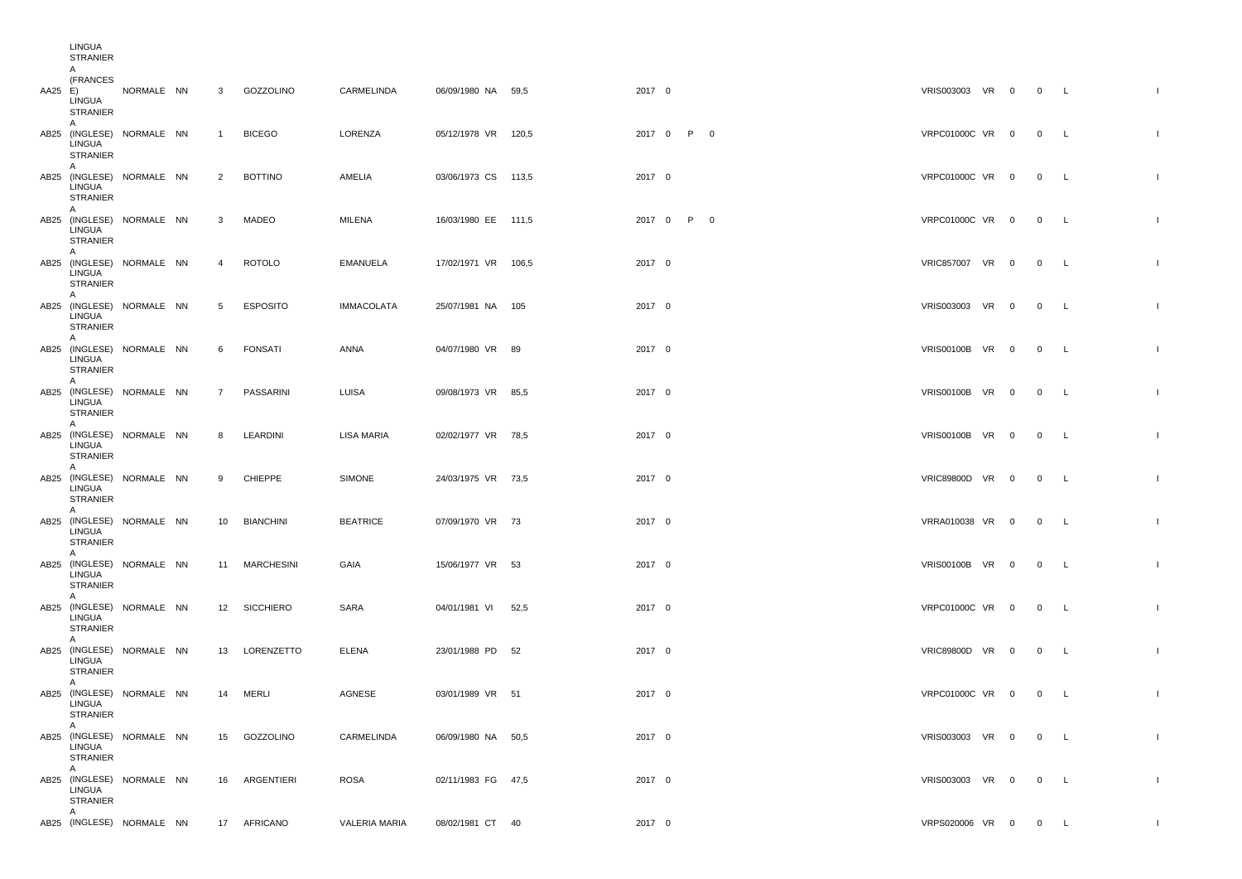|         | LINGUA<br><b>STRANIER</b>           |                           |                |                 |                   |                     |            |                     |  |             |                |
|---------|-------------------------------------|---------------------------|----------------|-----------------|-------------------|---------------------|------------|---------------------|--|-------------|----------------|
| AA25 E) | A<br>(FRANCES<br>LINGUA<br>STRANIER | NORMALE NN                | 3              | GOZZOLINO       | CARMELINDA        | 06/09/1980 NA 59,5  | 2017 0     | VRIS003003 VR 0 0 L |  |             |                |
|         | A<br>LINGUA<br><b>STRANIER</b>      | AB25 (INGLESE) NORMALE NN | $\overline{1}$ | <b>BICEGO</b>   | LORENZA           | 05/12/1978 VR 120,5 | 2017 0 P 0 | VRPC01000C VR 0     |  | 0 L         |                |
|         | A<br>LINGUA<br><b>STRANIER</b>      | AB25 (INGLESE) NORMALE NN | $\overline{2}$ | <b>BOTTINO</b>  | AMELIA            | 03/06/1973 CS 113,5 | 2017 0     | VRPC01000C VR 0     |  | 0 L         |                |
|         | A<br>LINGUA<br><b>STRANIER</b>      | AB25 (INGLESE) NORMALE NN | 3              | MADEO           | MILENA            | 16/03/1980 EE 111,5 | 2017 0 P 0 | VRPC01000C VR 0 0 L |  |             |                |
|         | A<br>LINGUA<br>STRANIER             | AB25 (INGLESE) NORMALE NN | $\overline{4}$ | <b>ROTOLO</b>   | EMANUELA          | 17/02/1971 VR 106,5 | 2017 0     | VRIC857007 VR 0 0 L |  |             |                |
|         | A<br>LINGUA<br><b>STRANIER</b>      | AB25 (INGLESE) NORMALE NN | 5              | <b>ESPOSITO</b> | <b>IMMACOLATA</b> | 25/07/1981 NA 105   | 2017 0     | VRIS003003 VR 0     |  | 0 L         |                |
|         | A<br>LINGUA<br><b>STRANIER</b>      | AB25 (INGLESE) NORMALE NN | 6              | <b>FONSATI</b>  | ANNA              | 04/07/1980 VR 89    | 2017 0     | VRIS00100B VR 0     |  | $0\qquad L$ |                |
|         | A<br>LINGUA<br><b>STRANIER</b>      | AB25 (INGLESE) NORMALE NN | $\overline{7}$ | PASSARINI       | LUISA             | 09/08/1973 VR 85,5  | 2017 0     | VRIS00100B VR 0     |  | 0 L         |                |
|         | A<br>LINGUA<br>STRANIER             | AB25 (INGLESE) NORMALE NN | 8              | LEARDINI        | <b>LISA MARIA</b> | 02/02/1977 VR 78,5  | 2017 0     | VRIS00100B VR 0     |  | 0 L         |                |
|         | A<br>LINGUA<br><b>STRANIER</b>      | AB25 (INGLESE) NORMALE NN | 9              | <b>CHIEPPE</b>  | SIMONE            | 24/03/1975 VR 73,5  | 2017 0     | VRIC89800D VR 0     |  | 0 L         |                |
|         | A<br>LINGUA<br>STRANIER             | AB25 (INGLESE) NORMALE NN |                | 10 BIANCHINI    | <b>BEATRICE</b>   | 07/09/1970 VR 73    | 2017 0     | VRRA010038 VR 0 0 L |  |             |                |
|         | A<br>LINGUA<br><b>STRANIER</b>      | AB25 (INGLESE) NORMALE NN |                | 11 MARCHESINI   | GAIA              | 15/06/1977 VR 53    | 2017 0     | VRIS00100B VR 0 0 L |  |             |                |
|         | A<br>LINGUA<br><b>STRANIER</b>      | AB25 (INGLESE) NORMALE NN |                | 12 SICCHIERO    | SARA              | 04/01/1981 VI 52,5  | 2017 0     | VRPC01000C VR 0     |  | $0\qquad L$ |                |
|         | A<br>LINGUA<br><b>STRANIER</b>      | AB25 (INGLESE) NORMALE NN |                | 13 LORENZETTO   | <b>ELENA</b>      | 23/01/1988 PD 52    | 2017 0     | VRIC89800D VR 0     |  | 0 L         |                |
|         | A<br>LINGUA<br>STRANIER             | AB25 (INGLESE) NORMALE NN |                | 14 MERLI        | AGNESE            | 03/01/1989 VR 51    | 2017 0     | VRPC01000C VR 0 0 L |  |             | $\mathbf{I}$   |
|         | A –<br>LINGUA<br><b>STRANIER</b>    | AB25 (INGLESE) NORMALE NN |                | 15 GOZZOLINO    | CARMELINDA        | 06/09/1980 NA 50,5  | 2017 0     | VRIS003003 VR 0 0 L |  |             | $\mathbf{L}$   |
|         | A<br>LINGUA<br><b>STRANIER</b>      | AB25 (INGLESE) NORMALE NN |                | 16 ARGENTIERI   | ROSA              | 02/11/1983 FG 47,5  | 2017 0     | VRIS003003 VR 0 0 L |  |             | $\blacksquare$ |
|         | A                                   | AB25 (INGLESE) NORMALE NN |                | 17 AFRICANO     | VALERIA MARIA     | 08/02/1981 CT 40    | 2017 0     | VRPS020006 VR 0 0 L |  |             | $\mathbf{I}$   |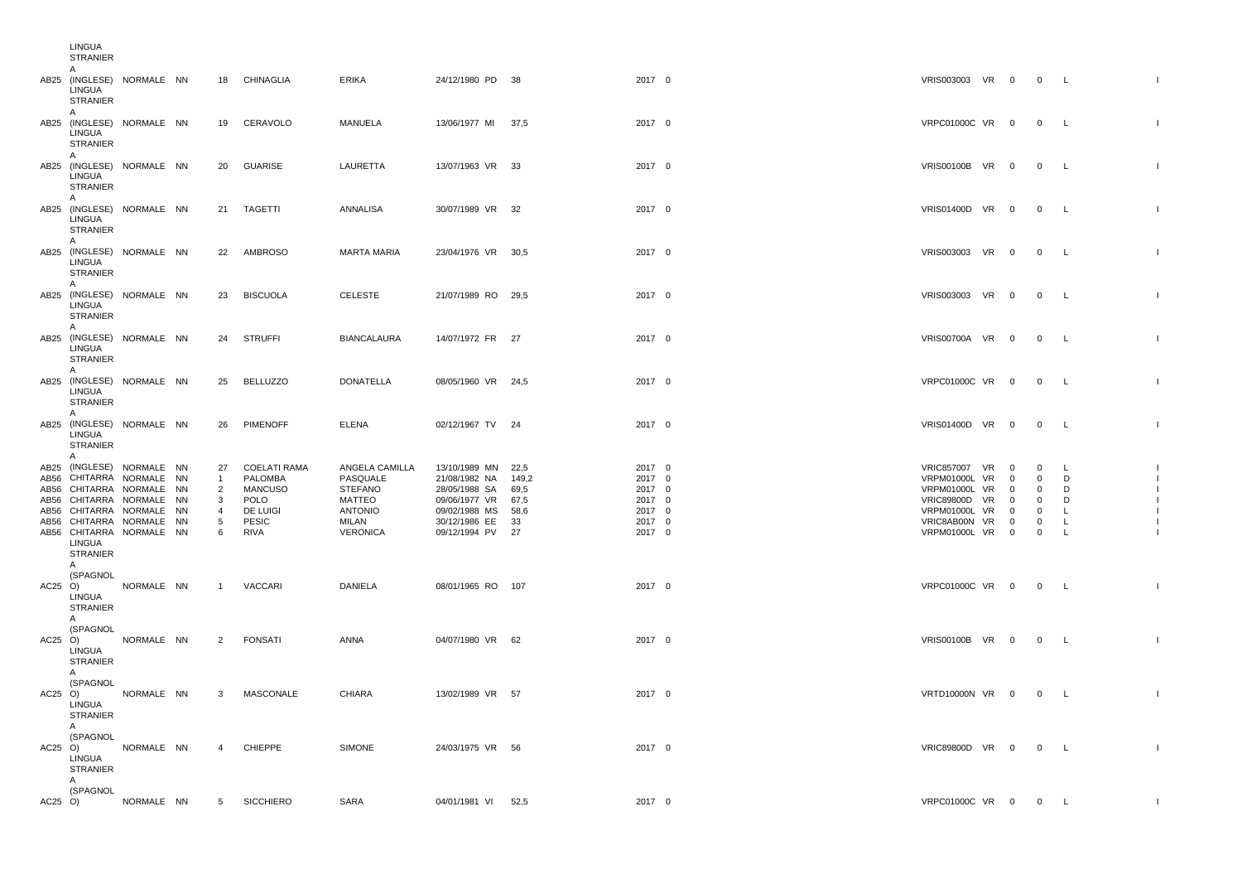|                              | LINGUA<br><b>STRANIER</b><br>A                                                                                                                                                               |            |           |                                                                       |                                                                                              |                                                                                                      |                                                                                                                                  |                             |                                                                    |                                                                                                                                                   |                                                                                                    |                                                                                                            |                                                |                |
|------------------------------|----------------------------------------------------------------------------------------------------------------------------------------------------------------------------------------------|------------|-----------|-----------------------------------------------------------------------|----------------------------------------------------------------------------------------------|------------------------------------------------------------------------------------------------------|----------------------------------------------------------------------------------------------------------------------------------|-----------------------------|--------------------------------------------------------------------|---------------------------------------------------------------------------------------------------------------------------------------------------|----------------------------------------------------------------------------------------------------|------------------------------------------------------------------------------------------------------------|------------------------------------------------|----------------|
|                              | AB25 (INGLESE) NORMALE NN<br>LINGUA<br>STRANIER                                                                                                                                              |            |           |                                                                       | 18 CHINAGLIA                                                                                 | <b>ERIKA</b>                                                                                         | 24/12/1980 PD 38                                                                                                                 |                             | 2017 0                                                             | VRIS003003 VR 0                                                                                                                                   |                                                                                                    | 0 L                                                                                                        |                                                | $\blacksquare$ |
|                              | A<br>AB25 (INGLESE) NORMALE NN<br>LINGUA<br><b>STRANIER</b><br>$\overline{A}$                                                                                                                |            |           | 19                                                                    | CERAVOLO                                                                                     | MANUELA                                                                                              | 13/06/1977 MI 37,5                                                                                                               |                             | 2017 0                                                             | VRPC01000C VR 0                                                                                                                                   |                                                                                                    | $0\qquad L$                                                                                                |                                                |                |
|                              | AB25 (INGLESE) NORMALE NN<br>LINGUA<br><b>STRANIER</b>                                                                                                                                       |            |           | 20                                                                    | GUARISE                                                                                      | LAURETTA                                                                                             | 13/07/1963 VR 33                                                                                                                 |                             | 2017 0                                                             | VRIS00100B VR 0                                                                                                                                   |                                                                                                    | $\overline{0}$                                                                                             | $\mathsf{L}$                                   |                |
|                              | A<br>AB25 (INGLESE) NORMALE NN<br>LINGUA<br><b>STRANIER</b>                                                                                                                                  |            |           |                                                                       | 21 TAGETTI                                                                                   | ANNALISA                                                                                             | 30/07/1989 VR 32                                                                                                                 |                             | 2017 0                                                             | VRIS01400D VR 0                                                                                                                                   |                                                                                                    | $0\qquad L$                                                                                                |                                                |                |
|                              | A<br>AB25 (INGLESE) NORMALE NN<br>LINGUA<br><b>STRANIER</b>                                                                                                                                  |            |           |                                                                       | 22 AMBROSO                                                                                   | <b>MARTA MARIA</b>                                                                                   | 23/04/1976 VR 30,5                                                                                                               |                             | 2017 0                                                             | VRIS003003 VR 0                                                                                                                                   |                                                                                                    | $0$ L                                                                                                      |                                                |                |
|                              | A<br>AB25 (INGLESE) NORMALE NN<br>LINGUA<br><b>STRANIER</b>                                                                                                                                  |            |           | 23                                                                    | <b>BISCUOLA</b>                                                                              | CELESTE                                                                                              | 21/07/1989 RO 29,5                                                                                                               |                             | 2017 0                                                             | VRIS003003 VR 0                                                                                                                                   |                                                                                                    | $0\qquad L$                                                                                                |                                                |                |
|                              | A<br>AB25 (INGLESE) NORMALE NN<br>LINGUA<br><b>STRANIER</b><br>A                                                                                                                             |            |           | 24                                                                    | <b>STRUFFI</b>                                                                               | <b>BIANCALAURA</b>                                                                                   | 14/07/1972 FR 27                                                                                                                 |                             | 2017 0                                                             | VRIS00700A VR 0                                                                                                                                   |                                                                                                    | $\overline{0}$                                                                                             | $\mathsf{L}$                                   |                |
|                              | AB25 (INGLESE) NORMALE NN<br><b>LINGUA</b><br><b>STRANIER</b><br>$\overline{A}$                                                                                                              |            |           | 25                                                                    | BELLUZZO                                                                                     | <b>DONATELLA</b>                                                                                     | 08/05/1960 VR 24,5                                                                                                               |                             | 2017 0                                                             | VRPC01000C VR 0                                                                                                                                   |                                                                                                    | $\overline{0}$                                                                                             | $\mathsf{L}$                                   |                |
|                              | AB25 (INGLESE) NORMALE NN<br>LINGUA<br>STRANIER<br>$\overline{A}$                                                                                                                            |            |           | 26                                                                    | PIMENOFF                                                                                     | <b>ELENA</b>                                                                                         | 02/12/1967 TV 24                                                                                                                 |                             | 2017 0                                                             | VRIS01400D VR 0                                                                                                                                   |                                                                                                    | $0\qquad L$                                                                                                |                                                |                |
| AB56<br>AB56<br>AB56<br>AB56 | AB25 (INGLESE) NORMALE NN<br>CHITARRA<br>CHITARRA NORMALE<br>CHITARRA NORMALE NN<br>CHITARRA NORMALE NN<br>AB56 CHITARRA NORMALE NN<br>AB56 CHITARRA NORMALE NN<br>LINGUA<br><b>STRANIER</b> | NORMALE NN | <b>NN</b> | 27<br>$\mathbf{1}$<br>$\overline{2}$<br>3<br>$\overline{4}$<br>5<br>6 | <b>COELATI RAMA</b><br>PALOMBA<br><b>MANCUSO</b><br>POLO<br>DE LUIGI<br><b>PESIC</b><br>RIVA | ANGELA CAMILLA<br>PASQUALE<br><b>STEFANO</b><br>MATTEO<br><b>ANTONIO</b><br>MILAN<br><b>VERONICA</b> | 13/10/1989 MN 22,5<br>21/08/1982 NA<br>28/05/1988 SA<br>09/06/1977 VR 67,5<br>09/02/1988 MS<br>30/12/1986 EE<br>09/12/1994 PV 27 | 149,2<br>69,5<br>58,6<br>33 | 2017 0<br>2017 0<br>2017 0<br>2017 0<br>2017 0<br>2017 0<br>2017 0 | VRIC857007 VR 0<br><b>VRPM01000L VR</b><br><b>VRPM01000L VR</b><br><b>VRIC89800D VR</b><br>VRPM01000L VR<br>VRIC8AB00N VR<br><b>VRPM01000L VR</b> | $\overline{0}$<br>$\overline{0}$<br>$\overline{0}$<br>$\Omega$<br>$\overline{0}$<br>$\overline{0}$ | $\mathbf 0$<br>$\mathbf{0}$<br>$\mathsf{O}$<br>$\mathbf{0}$<br>$\mathsf{O}$<br>$\mathbf 0$<br>$\mathbf{0}$ | $\blacksquare$<br>D<br>D<br>D<br>L.<br>L<br>L. |                |
| $AC25$ $O)$                  | A<br>(SPAGNOL<br>LINGUA<br><b>STRANIER</b><br>A                                                                                                                                              | NORMALE NN |           | $\mathbf{1}$                                                          | VACCARI                                                                                      | DANIELA                                                                                              | 08/01/1965 RO 107                                                                                                                |                             | 2017 0                                                             | VRPC01000C VR 0                                                                                                                                   |                                                                                                    | $\overline{0}$                                                                                             | $\mathsf{L}$                                   |                |
| $AC25$ O)                    | (SPAGNOL<br>LINGUA<br><b>STRANIER</b>                                                                                                                                                        | NORMALE NN |           | 2                                                                     | <b>FONSATI</b>                                                                               | ANNA                                                                                                 | 04/07/1980 VR 62                                                                                                                 |                             | 2017 0                                                             | VRIS00100B VR 0                                                                                                                                   |                                                                                                    | $0\qquad L$                                                                                                |                                                |                |
| $AC25$ O)                    | A<br>(SPAGNOL<br>LINGUA<br>STRANIER                                                                                                                                                          | NORMALE NN |           | 3                                                                     | MASCONALE                                                                                    | CHIARA                                                                                               | 13/02/1989 VR 57                                                                                                                 |                             | 2017 0                                                             | VRTD10000N VR 0                                                                                                                                   |                                                                                                    | $0\qquad L$                                                                                                |                                                |                |
| $AC25$ O)                    | A<br>(SPAGNOL<br>LINGUA<br><b>STRANIER</b>                                                                                                                                                   | NORMALE NN |           | $\overline{a}$                                                        | CHIEPPE                                                                                      | <b>SIMONE</b>                                                                                        | 24/03/1975 VR 56                                                                                                                 |                             | 2017 0                                                             | VRIC89800D VR 0                                                                                                                                   |                                                                                                    | $\overline{0}$                                                                                             | $\mathsf{L}$                                   |                |
| $AC25$ O)                    | A<br>(SPAGNOL                                                                                                                                                                                | NORMALE NN |           |                                                                       | 5 SICCHIERO                                                                                  | SARA                                                                                                 | 04/01/1981 VI 52,5                                                                                                               |                             | 2017 0                                                             | VRPC01000C VR 0                                                                                                                                   |                                                                                                    | $\overline{0}$                                                                                             | $\mathsf{L}$                                   | -1             |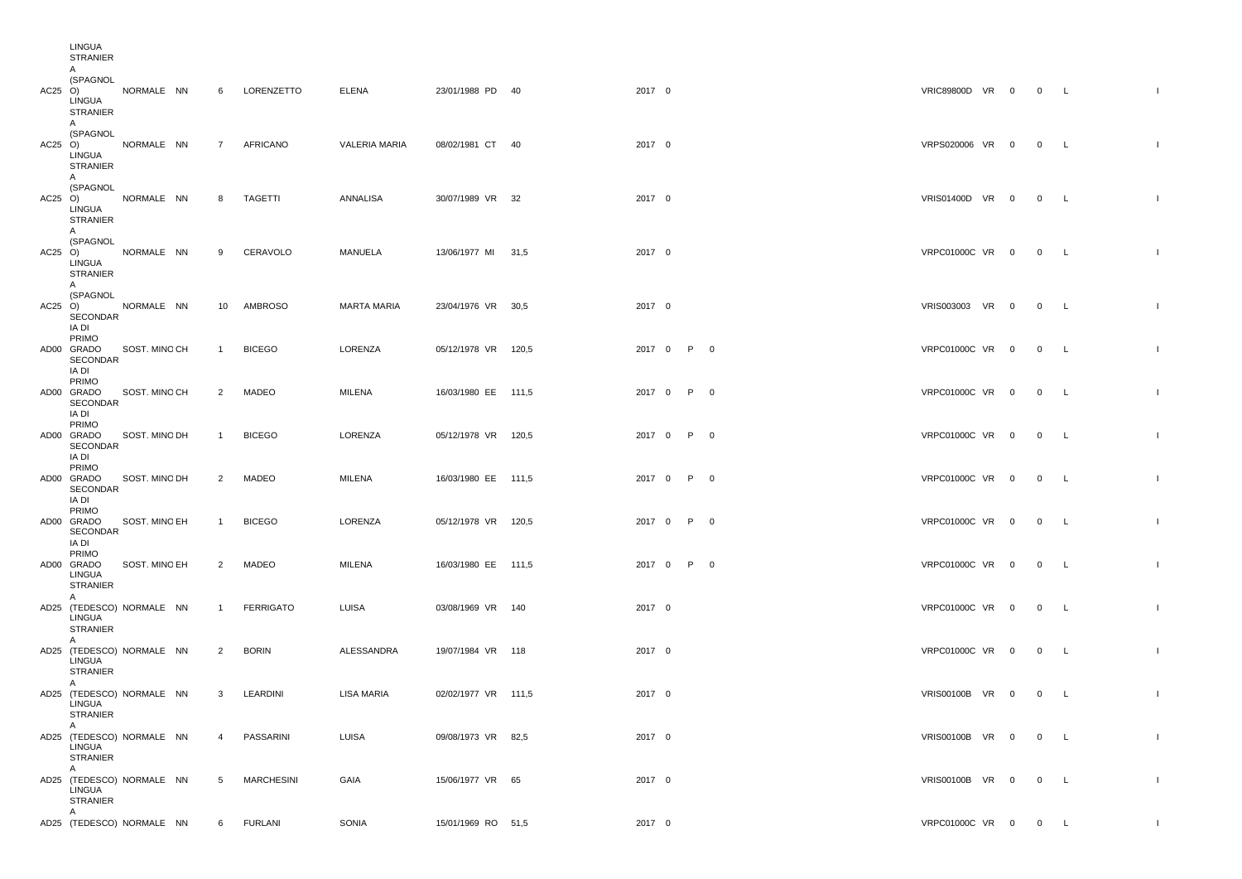|           | LINGUA<br><b>STRANIER</b>                                              |               |                 |                  |                      |                     |        |            |  |                     |  |             |              |
|-----------|------------------------------------------------------------------------|---------------|-----------------|------------------|----------------------|---------------------|--------|------------|--|---------------------|--|-------------|--------------|
| $AC25$ O) | A<br>(SPAGNOL<br>LINGUA<br>STRANIER                                    | NORMALE NN    | 6               | LORENZETTO       | <b>ELENA</b>         | 23/01/1988 PD 40    | 2017 0 |            |  | VRIC89800D VR 0 0 L |  |             | $\mathbf{I}$ |
| $AC25$ O) | A<br>(SPAGNOL<br>LINGUA<br>STRANIER                                    | NORMALE NN    | $7\overline{ }$ | AFRICANO         | <b>VALERIA MARIA</b> | 08/02/1981 CT 40    | 2017 0 |            |  | VRPS020006 VR 0     |  | $0\qquad L$ |              |
|           | A<br>(SPAGNOL<br>$AC25$ $O$ )<br>LINGUA<br><b>STRANIER</b>             | NORMALE NN    | 8               | TAGETTI          | ANNALISA             | 30/07/1989 VR 32    | 2017 0 |            |  | VRIS01400D VR 0     |  | $0\qquad L$ |              |
|           | A<br>(SPAGNOL<br>$AC25$ $O$ )<br>LINGUA<br>STRANIER                    | NORMALE NN    | 9               | CERAVOLO         | MANUELA              | 13/06/1977 MI 31,5  | 2017 0 |            |  | VRPC01000C VR 0     |  | $0\qquad L$ |              |
|           | A<br>(SPAGNOL<br>$AC25$ O)<br>SECONDAR<br>IA DI                        | NORMALE NN    |                 | 10 AMBROSO       | MARTA MARIA          | 23/04/1976 VR 30,5  | 2017 0 |            |  | VRIS003003 VR 0     |  | $0\qquad L$ |              |
|           | PRIMO<br>AD00 GRADO SOST. MINO CH<br>SECONDAR<br>ia di                 |               | $\mathbf{1}$    | <b>BICEGO</b>    | LORENZA              | 05/12/1978 VR 120,5 |        | 2017 0 P 0 |  | VRPC01000C VR 0     |  | $0\qquad L$ |              |
|           | PRIMO<br>AD00 GRADO<br>SECONDAR<br>IA DI                               | SOST. MINO CH | $\overline{2}$  | MADEO            | MILENA               | 16/03/1980 EE 111,5 |        | 2017 0 P 0 |  | VRPC01000C VR 0     |  | $0\qquad L$ |              |
|           | PRIMO<br>AD00 GRADO<br>SECONDAR<br>IA DI                               | SOST. MINO DH | $\mathbf{1}$    | <b>BICEGO</b>    | LORENZA              | 05/12/1978 VR 120,5 |        | 2017 0 P 0 |  | VRPC01000C VR 0     |  | $0\qquad L$ |              |
|           | PRIMO<br>AD00 GRADO<br>SECONDAR<br>IA DI                               | SOST. MINO DH | $\overline{2}$  | MADEO            | MILENA               | 16/03/1980 EE 111,5 |        | 2017 0 P 0 |  | VRPC01000C VR 0     |  | $0\quad L$  |              |
|           | PRIMO<br>AD00 GRADO SOST. MINO EH<br>SECONDAR<br>IA DI                 |               | $\mathbf{1}$    | <b>BICEGO</b>    | LORENZA              | 05/12/1978 VR 120,5 |        | 2017 0 P 0 |  | VRPC01000C VR 0     |  | $0\qquad L$ |              |
|           | PRIMO<br>AD00 GRADO<br>LINGUA<br>STRANIER                              | SOST. MINO EH | $\overline{2}$  | MADEO            | MILENA               | 16/03/1980 EE 111,5 |        | 2017 0 P 0 |  | VRPC01000C VR 0     |  | $0\qquad L$ |              |
|           | $\mathsf{A}$<br>AD25 (TEDESCO) NORMALE NN<br>LINGUA<br><b>STRANIER</b> |               | 1               | <b>FERRIGATO</b> | LUISA                | 03/08/1969 VR 140   | 2017 0 |            |  | VRPC01000C VR 0     |  | $0\qquad L$ |              |
|           | A<br>AD25 (TEDESCO) NORMALE NN<br>LINGUA<br><b>STRANIER</b>            |               | $\overline{2}$  | <b>BORIN</b>     | ALESSANDRA           | 19/07/1984 VR 118   | 2017 0 |            |  | VRPC01000C VR 0     |  | $0\qquad L$ |              |
|           | $\mathsf{A}$<br>AD25 (TEDESCO) NORMALE NN<br>LINGUA<br><b>STRANIER</b> |               |                 | 3 LEARDINI       | <b>LISA MARIA</b>    | 02/02/1977 VR 111,5 | 2017 0 |            |  | VRIS00100B VR 0     |  | $0\qquad L$ | $\mathbf{I}$ |
|           | A<br>AD25 (TEDESCO) NORMALE NN<br>LINGUA<br>STRANIER                   |               | 4               | PASSARINI        | LUISA                | 09/08/1973 VR 82,5  | 2017 0 |            |  | VRIS00100B VR 0 0 L |  |             | $\mathbf{L}$ |
|           | A<br>AD25 (TEDESCO) NORMALE NN<br>LINGUA<br><b>STRANIER</b>            |               | 5               | MARCHESINI       | GAIA                 | 15/06/1977 VR 65    | 2017 0 |            |  | VRIS00100B VR 0 0 L |  |             | $\mathbf{L}$ |
|           | A<br>AD25 (TEDESCO) NORMALE NN                                         |               | 6               | <b>FURLANI</b>   | SONIA                | 15/01/1969 RO 51,5  | 2017 0 |            |  | VRPC01000C VR 0 0 L |  |             | $\mathbf{I}$ |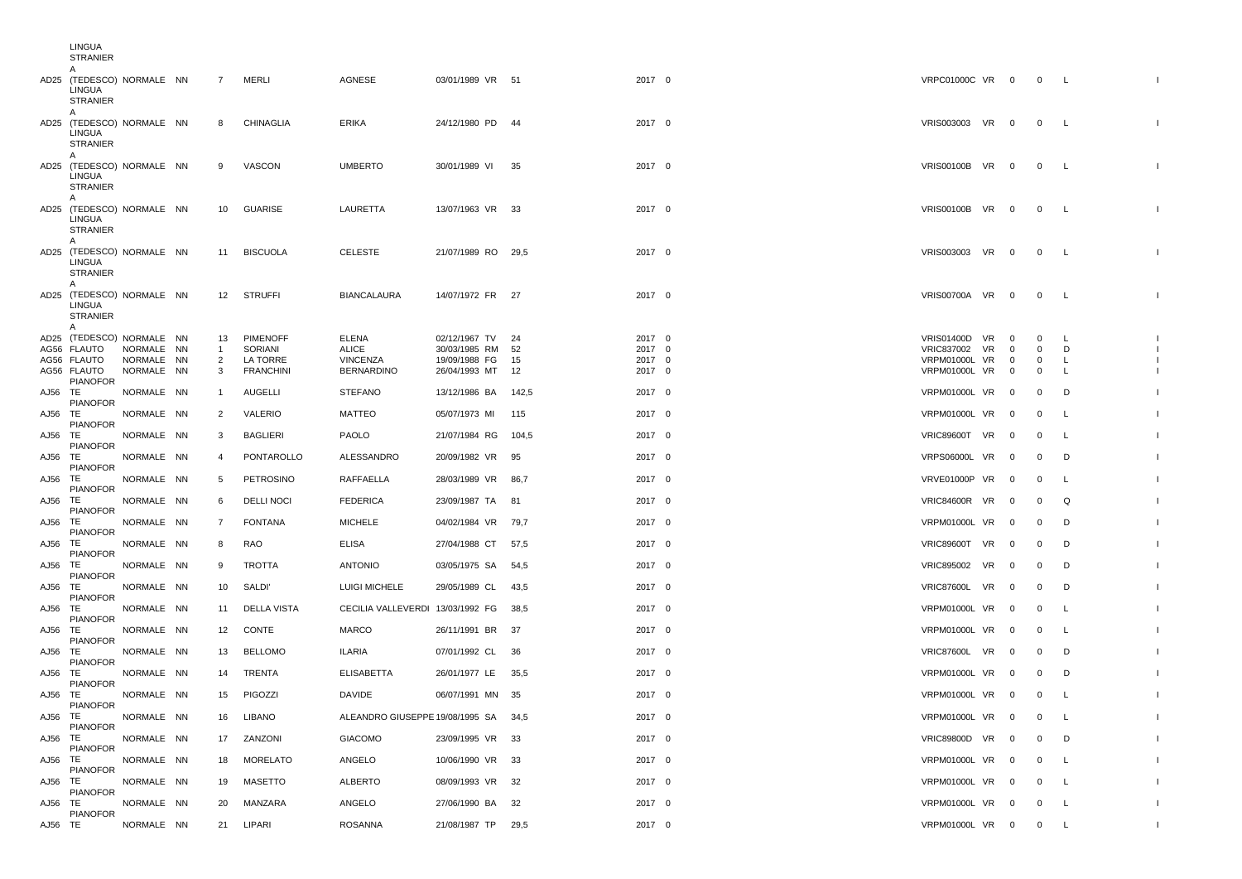|         | LINGUA<br><b>STRANIER</b>                                              |            |                |                   |                                      |                     |       |        |                      |    |                          |                |                          |              |
|---------|------------------------------------------------------------------------|------------|----------------|-------------------|--------------------------------------|---------------------|-------|--------|----------------------|----|--------------------------|----------------|--------------------------|--------------|
|         | A<br>AD25 (TEDESCO) NORMALE NN<br>LINGUA<br><b>STRANIER</b>            |            | $\overline{7}$ | MERLI             | AGNESE                               | 03/01/1989 VR 51    |       | 2017 0 | VRPC01000C VR 0      |    |                          | 0 L            |                          |              |
|         | A<br>AD25 (TEDESCO) NORMALE NN<br>LINGUA<br><b>STRANIER</b><br>A       |            | 8              | <b>CHINAGLIA</b>  | ERIKA                                | 24/12/1980 PD       | - 44  | 2017 0 | VRIS003003 VR 0      |    |                          | $\overline{0}$ | $\mathsf{L}$             |              |
|         | AD25 (TEDESCO) NORMALE NN<br>LINGUA<br><b>STRANIER</b><br>$\mathsf{A}$ |            | 9              | VASCON            | <b>UMBERTO</b>                       | 30/01/1989 VI       | - 35  | 2017 0 | VRIS00100B VR 0      |    |                          | $\mathbf 0$    | <b>L</b>                 |              |
|         | AD25 (TEDESCO) NORMALE NN<br>LINGUA<br><b>STRANIER</b><br>A            |            | 10             | GUARISE           | LAURETTA                             | 13/07/1963 VR 33    |       | 2017 0 | VRIS00100B VR 0      |    |                          | $0\qquad L$    |                          |              |
|         | AD25 (TEDESCO) NORMALE NN<br>LINGUA<br><b>STRANIER</b><br>A            |            | 11             | <b>BISCUOLA</b>   | <b>CELESTE</b>                       | 21/07/1989 RO 29.5  |       | 2017 0 | VRIS003003 VR 0      |    |                          | 0 L            |                          |              |
|         | AD25 (TEDESCO) NORMALE NN<br>LINGUA<br><b>STRANIER</b><br>A            |            |                | 12 STRUFFI        | <b>BIANCALAURA</b>                   | 14/07/1972 FR 27    |       | 2017 0 | VRIS00700A VR 0      |    |                          | $0\qquad L$    |                          |              |
|         | AD25 (TEDESCO) NORMALE NN                                              |            | 13             | PIMENOFF          | <b>ELENA</b>                         | 02/12/1967 TV       | - 24  | 2017 0 | <b>VRIS01400D VR</b> |    | $\mathbf 0$              | $\mathbf 0$    | <b>L</b>                 |              |
|         | AG56 FLAUTO                                                            | NORMALE NN | $\mathbf{1}$   | SORIANI           | ALICE                                | 30/03/1985 RM 52    |       | 2017 0 | VRIC837002 VR        |    | $\overline{0}$           | $\mathbf 0$    | D                        |              |
|         | AG56 FLAUTO                                                            | NORMALE NN | $\overline{2}$ | LA TORRE          | VINCENZA                             | 19/09/1988 FG       | 15    | 2017 0 | VRPM01000L VR        |    | $\mathbf 0$              | 0              | L                        |              |
|         | AG56 FLAUTO<br><b>PIANOFOR</b>                                         | NORMALE NN | 3              | <b>FRANCHINI</b>  | <b>BERNARDINO</b>                    | 26/04/1993 MT       | 12    | 2017 0 | VRPM01000L VR        |    | $\overline{\phantom{0}}$ | $\mathbf 0$    | L                        |              |
| AJ56 TE | <b>PIANOFOR</b>                                                        | NORMALE NN | 1              | AUGELLI           | <b>STEFANO</b>                       | 13/12/1986 BA 142.5 |       | 2017 0 | VRPM01000L VR 0      |    |                          | 0              | D                        |              |
| AJ56    | TE                                                                     | NORMALE NN | 2              | VALERIO           | <b>MATTEO</b>                        | 05/07/1973 MI       | 115   | 2017 0 | VRPM01000L VR        |    | $\overline{\mathbf{0}}$  | 0              | L                        |              |
| AJ56 TE | <b>PIANOFOR</b>                                                        | NORMALE NN | 3              | BAGLIERI          | PAOLO                                | 21/07/1984 RG       | 104,5 | 2017 0 | VRIC89600T VR 0      |    |                          | $\mathbf 0$    | $\mathsf{L}$             |              |
| AJ56 TE | <b>PIANOFOR</b>                                                        | NORMALE NN | 4              | PONTAROLLO        | ALESSANDRO                           | 20/09/1982 VR       | 95    | 2017 0 | VRPS06000L VR        |    | $\overline{\mathbf{0}}$  | $\mathbf 0$    | D                        |              |
| AJ56 TE | <b>PIANOFOR</b>                                                        | NORMALE NN | 5              | PETROSINO         | RAFFAELLA                            | 28/03/1989 VR 86,7  |       | 2017 0 | VRVE01000P VR        |    | $\overline{\phantom{0}}$ | 0              | <b>L</b>                 |              |
| AJ56 TE | <b>PIANOFOR</b>                                                        | NORMALE NN | 6              | <b>DELLI NOCI</b> | <b>FEDERICA</b>                      | 23/09/1987 TA 81    |       | 2017 0 | VRIC84600R VR        |    | $\overline{\mathbf{0}}$  | 0              | Q                        |              |
|         | <b>PIANOFOR</b>                                                        |            |                |                   |                                      |                     |       |        |                      |    |                          |                |                          |              |
| AJ56 TE | <b>PIANOFOR</b>                                                        | NORMALE NN | $\overline{7}$ | <b>FONTANA</b>    | <b>MICHELE</b>                       | 04/02/1984 VR 79,7  |       | 2017 0 | VRPM01000L VR        |    | $\overline{0}$           | 0              | D                        |              |
| AJ56 TE | <b>PIANOFOR</b>                                                        | NORMALE NN | 8              | RAO               | <b>ELISA</b>                         | 27/04/1988 CT       | 57,5  | 2017 0 | VRIC89600T VR        |    | $\overline{\mathbf{0}}$  | 0              | D                        |              |
| AJ56    | TE<br><b>PIANOFOR</b>                                                  | NORMALE NN | 9              | TROTTA            | <b>ANTONIO</b>                       | 03/05/1975 SA       | 54,5  | 2017 0 | <b>VRIC895002</b>    | VR | $\overline{\mathbf{0}}$  | $\mathbf 0$    | D                        |              |
| AJ56 TE |                                                                        | NORMALE NN | 10             | <b>SALDI'</b>     | LUIGI MICHELE                        | 29/05/1989 CL       | 43,5  | 2017 0 | VRIC87600L VR 0      |    |                          | 0              | D                        |              |
| AJ56    | <b>PIANOFOR</b><br>TE                                                  | NORMALE NN | 11             | DELLA VISTA       | CECILIA VALLEVERDI 13/03/1992 FG     |                     | 38,5  | 2017 0 | VRPM01000L VR        |    | $\overline{\mathbf{0}}$  | 0              | L                        |              |
| AJ56 TE | <b>PIANOFOR</b>                                                        | NORMALE NN | 12             | CONTE             | <b>MARCO</b>                         | 26/11/1991 BR 37    |       | 2017 0 | VRPM01000L VR        |    | $\overline{\mathbf{0}}$  | $\mathbf 0$    | L.                       |              |
| AJ56 TE | <b>PIANOFOR</b>                                                        | NORMALE NN | 13             | <b>BELLOMO</b>    | <b>ILARIA</b>                        | 07/01/1992 CL       | 36    | 2017 0 | VRIC87600L VR        |    | $\overline{\mathbf{0}}$  | 0              | D                        |              |
| AJ56 TE | <b>PIANOFOR</b>                                                        | NORMALE NN | 14             | TRENTA            | <b>ELISABETTA</b>                    | 26/01/1977 LE       | 35,5  | 2017 0 | <b>VRPM01000L VR</b> |    | $\overline{\mathbf{0}}$  | $\mathbf{0}$   | D                        |              |
| AJ56 TE | <b>PIANOFOR</b>                                                        | NORMALE NN | 15             | PIGOZZI           | <b>DAVIDE</b>                        | 06/07/1991 MN 35    |       | 2017 0 | VRPM01000L VR 0      |    |                          | 0              | <b>L</b>                 |              |
|         | PIANOFOR                                                               |            |                |                   |                                      |                     |       |        |                      |    |                          |                |                          |              |
| AJ56 TE | <b>PIANOFOR</b>                                                        | NORMALE NN | 16             | LIBANO            | ALEANDRO GIUSEPPE 19/08/1995 SA 34,5 |                     |       | 2017 0 | VRPM01000L VR 0      |    |                          | 0              | - L                      |              |
| AJ56 TE | <b>PIANOFOR</b>                                                        | NORMALE NN | 17             | ZANZONI           | GIACOMO                              | 23/09/1995 VR 33    |       | 2017 0 | VRIC89800D VR 0      |    |                          | $\Omega$       | D                        |              |
| AJ56 TE | <b>PIANOFOR</b>                                                        | NORMALE NN | 18             | MORELATO          | ANGELO                               | 10/06/1990 VR 33    |       | 2017 0 | VRPM01000L VR 0      |    |                          | 0              | $\mathsf{L}$             |              |
| AJ56 TE | <b>PIANOFOR</b>                                                        | NORMALE NN |                | 19 MASETTO        | <b>ALBERTO</b>                       | 08/09/1993 VR 32    |       | 2017 0 | VRPM01000L VR 0      |    |                          | 0              | $\mathsf{L}$             |              |
| AJ56 TE |                                                                        | NORMALE NN | 20             | MANZARA           | ANGELO                               | 27/06/1990 BA 32    |       | 2017 0 | VRPM01000L VR 0      |    |                          | $\mathbf{0}$   | $\overline{\phantom{a}}$ | $\mathbf{L}$ |
| AJ56 TE | <b>PIANOFOR</b>                                                        | NORMALE NN |                | 21 LIPARI         | <b>ROSANNA</b>                       | 21/08/1987 TP 29,5  |       | 2017 0 | VRPM01000L VR 0 0 L  |    |                          |                |                          | $\mathbf{L}$ |